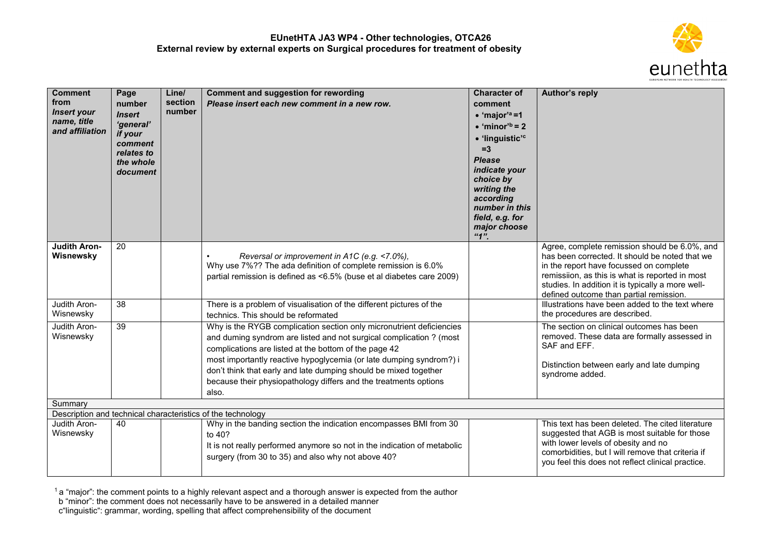

| <b>Comment</b><br>from<br><b>Insert your</b><br>name, title<br>and affiliation | Page<br>number<br><b>Insert</b><br>'general'<br>if your<br>comment<br>relates to<br>the whole<br>document | Line/<br>section<br>number | <b>Comment and suggestion for rewording</b><br>Please insert each new comment in a new row.                                                                                                                                                                                                                                                                                                                                  | <b>Character of</b><br>comment<br>$\bullet$ 'major' <sup>a</sup> =1<br>$\bullet$ 'minor' <sup>b</sup> = 2<br>· 'linguistic' <sup>c</sup><br>$=3$<br><b>Please</b><br>indicate your<br>choice by<br>writing the<br>according<br>number in this<br>field, e.g. for<br>major choose<br>41" | Author's reply                                                                                                                                                                                                                                                                                |
|--------------------------------------------------------------------------------|-----------------------------------------------------------------------------------------------------------|----------------------------|------------------------------------------------------------------------------------------------------------------------------------------------------------------------------------------------------------------------------------------------------------------------------------------------------------------------------------------------------------------------------------------------------------------------------|-----------------------------------------------------------------------------------------------------------------------------------------------------------------------------------------------------------------------------------------------------------------------------------------|-----------------------------------------------------------------------------------------------------------------------------------------------------------------------------------------------------------------------------------------------------------------------------------------------|
| <b>Judith Aron-</b><br>Wisnewsky                                               | 20                                                                                                        |                            | Reversal or improvement in A1C (e.g. <7.0%),<br>٠<br>Why use 7%?? The ada definition of complete remission is 6.0%<br>partial remission is defined as <6.5% (buse et al diabetes care 2009)                                                                                                                                                                                                                                  |                                                                                                                                                                                                                                                                                         | Agree, complete remission should be 6.0%, and<br>has been corrected. It should be noted that we<br>in the report have focussed on complete<br>remissiion, as this is what is reported in most<br>studies. In addition it is typically a more well-<br>defined outcome than partial remission. |
| Judith Aron-<br>Wisnewsky                                                      | 38                                                                                                        |                            | There is a problem of visualisation of the different pictures of the<br>technics. This should be reformated                                                                                                                                                                                                                                                                                                                  |                                                                                                                                                                                                                                                                                         | Illustrations have been added to the text where<br>the procedures are described.                                                                                                                                                                                                              |
| Judith Aron-<br>Wisnewsky                                                      | 39                                                                                                        |                            | Why is the RYGB complication section only micronutrient deficiencies<br>and duming syndrom are listed and not surgical complication ? (most<br>complications are listed at the bottom of the page 42<br>most importantly reactive hypoglycemia (or late dumping syndrom?) i<br>don't think that early and late dumping should be mixed together<br>because their physiopathology differs and the treatments options<br>also. |                                                                                                                                                                                                                                                                                         | The section on clinical outcomes has been<br>removed. These data are formally assessed in<br>SAF and EFF.<br>Distinction between early and late dumping<br>syndrome added.                                                                                                                    |
| Summary                                                                        |                                                                                                           |                            |                                                                                                                                                                                                                                                                                                                                                                                                                              |                                                                                                                                                                                                                                                                                         |                                                                                                                                                                                                                                                                                               |
| Judith Aron-                                                                   | 40                                                                                                        |                            | Description and technical characteristics of the technology<br>Why in the banding section the indication encompasses BMI from 30                                                                                                                                                                                                                                                                                             |                                                                                                                                                                                                                                                                                         | This text has been deleted. The cited literature                                                                                                                                                                                                                                              |
| Wisnewsky                                                                      |                                                                                                           |                            | to 40?<br>It is not really performed anymore so not in the indication of metabolic<br>surgery (from 30 to 35) and also why not above 40?                                                                                                                                                                                                                                                                                     |                                                                                                                                                                                                                                                                                         | suggested that AGB is most suitable for those<br>with lower levels of obesity and no<br>comorbidities, but I will remove that criteria if<br>you feel this does not reflect clinical practice.                                                                                                |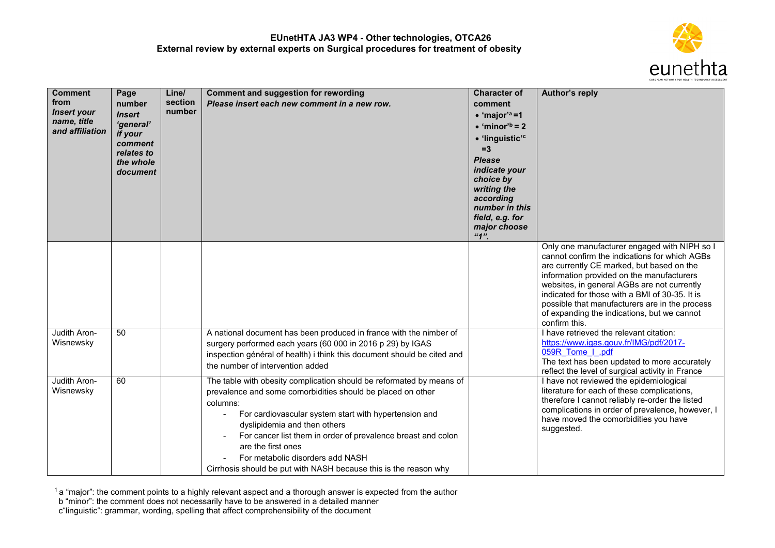

| <b>Comment</b><br>from<br><b>Insert your</b><br>name, title<br>and affiliation | Page<br>number<br><b>Insert</b><br>'general'<br>if your<br>comment<br>relates to<br>the whole<br>document | Line/<br>section<br>number | <b>Comment and suggestion for rewording</b><br>Please insert each new comment in a new row.                                                                                                                                                                                                                                                                                                                                            | <b>Character of</b><br>comment<br>$\bullet$ 'major' <sup>a</sup> =1<br>$\bullet$ 'minor' <sup>b</sup> = 2<br>· 'linguistic' <sup>c</sup><br>$=3$<br><b>Please</b><br>indicate your<br>choice by<br>writing the<br>according<br>number in this<br>field, e.g. for<br>major choose<br>4" | Author's reply                                                                                                                                                                                                                                                                                                                                                                                             |
|--------------------------------------------------------------------------------|-----------------------------------------------------------------------------------------------------------|----------------------------|----------------------------------------------------------------------------------------------------------------------------------------------------------------------------------------------------------------------------------------------------------------------------------------------------------------------------------------------------------------------------------------------------------------------------------------|----------------------------------------------------------------------------------------------------------------------------------------------------------------------------------------------------------------------------------------------------------------------------------------|------------------------------------------------------------------------------------------------------------------------------------------------------------------------------------------------------------------------------------------------------------------------------------------------------------------------------------------------------------------------------------------------------------|
|                                                                                |                                                                                                           |                            |                                                                                                                                                                                                                                                                                                                                                                                                                                        |                                                                                                                                                                                                                                                                                        | Only one manufacturer engaged with NIPH so I<br>cannot confirm the indications for which AGBs<br>are currently CE marked, but based on the<br>information provided on the manufacturers<br>websites, in general AGBs are not currently<br>indicated for those with a BMI of 30-35. It is<br>possible that manufacturers are in the process<br>of expanding the indications, but we cannot<br>confirm this. |
| Judith Aron-<br>Wisnewsky                                                      | 50                                                                                                        |                            | A national document has been produced in france with the nimber of<br>surgery performed each years (60 000 in 2016 p 29) by IGAS<br>inspection général of health) i think this document should be cited and<br>the number of intervention added                                                                                                                                                                                        |                                                                                                                                                                                                                                                                                        | I have retrieved the relevant citation:<br>https://www.igas.gouv.fr/IMG/pdf/2017-<br>059R Tome I .pdf<br>The text has been updated to more accurately<br>reflect the level of surgical activity in France                                                                                                                                                                                                  |
| Judith Aron-<br>Wisnewsky                                                      | 60                                                                                                        |                            | The table with obesity complication should be reformated by means of<br>prevalence and some comorbidities should be placed on other<br>columns:<br>For cardiovascular system start with hypertension and<br>dyslipidemia and then others<br>For cancer list them in order of prevalence breast and colon<br>are the first ones<br>For metabolic disorders add NASH<br>Cirrhosis should be put with NASH because this is the reason why |                                                                                                                                                                                                                                                                                        | I have not reviewed the epidemiological<br>literature for each of these complications,<br>therefore I cannot reliably re-order the listed<br>complications in order of prevalence, however, I<br>have moved the comorbidities you have<br>suggested.                                                                                                                                                       |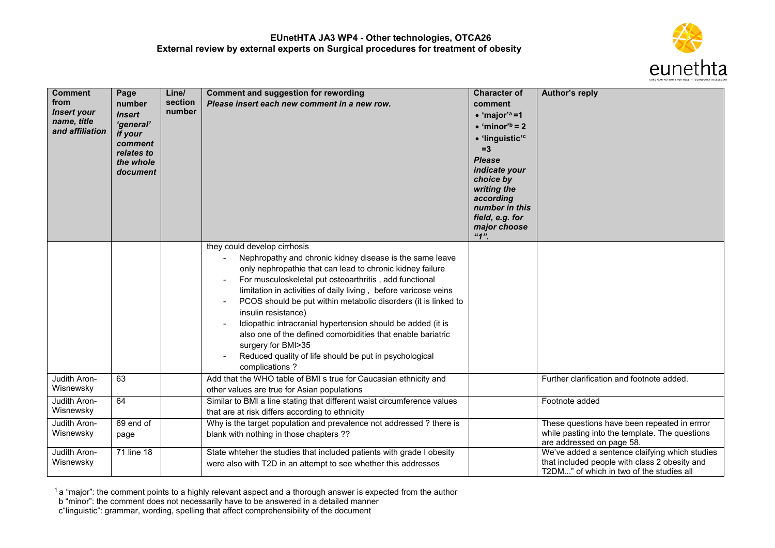

| <b>Comment</b><br>from<br><b>Insert your</b><br>name, title<br>and affiliation | Page<br>number<br><b>Insert</b><br>'general'<br>if your<br>comment<br>relates to<br>the whole<br>document | Line/<br>section<br>number | <b>Comment and suggestion for rewording</b><br>Please insert each new comment in a new row.                                                                                                                                                                                                                                                                                                                                                                                                                                                                                                                 | <b>Character of</b><br>comment<br>$\bullet$ 'major' <sup>a</sup> =1<br>$\bullet$ 'minor' <sup>b</sup> = 2<br>· 'linguistic' <sup>c</sup><br>$=3$<br><b>Please</b><br>indicate your<br>choice by<br>writing the<br>according<br>number in this<br>field, e.g. for<br>major choose<br>"1" | Author's reply                                                                                                                              |
|--------------------------------------------------------------------------------|-----------------------------------------------------------------------------------------------------------|----------------------------|-------------------------------------------------------------------------------------------------------------------------------------------------------------------------------------------------------------------------------------------------------------------------------------------------------------------------------------------------------------------------------------------------------------------------------------------------------------------------------------------------------------------------------------------------------------------------------------------------------------|-----------------------------------------------------------------------------------------------------------------------------------------------------------------------------------------------------------------------------------------------------------------------------------------|---------------------------------------------------------------------------------------------------------------------------------------------|
|                                                                                |                                                                                                           |                            | they could develop cirrhosis<br>Nephropathy and chronic kidney disease is the same leave<br>only nephropathie that can lead to chronic kidney failure<br>For musculoskeletal put osteoarthritis, add functional<br>limitation in activities of daily living, before varicose veins<br>PCOS should be put within metabolic disorders (it is linked to<br>insulin resistance)<br>Idiopathic intracranial hypertension should be added (it is<br>also one of the defined comorbidities that enable bariatric<br>surgery for BMI>35<br>Reduced quality of life should be put in psychological<br>complications? |                                                                                                                                                                                                                                                                                         |                                                                                                                                             |
| Judith Aron-<br>Wisnewsky                                                      | 63                                                                                                        |                            | Add that the WHO table of BMI s true for Caucasian ethnicity and<br>other values are true for Asian populations                                                                                                                                                                                                                                                                                                                                                                                                                                                                                             |                                                                                                                                                                                                                                                                                         | Further clarification and footnote added.                                                                                                   |
| Judith Aron-<br>Wisnewsky                                                      | 64                                                                                                        |                            | Similar to BMI a line stating that different waist circumference values<br>that are at risk differs according to ethnicity                                                                                                                                                                                                                                                                                                                                                                                                                                                                                  |                                                                                                                                                                                                                                                                                         | Footnote added                                                                                                                              |
| Judith Aron-<br>Wisnewsky                                                      | 69 end of<br>page                                                                                         |                            | Why is the target population and prevalence not addressed ? there is<br>blank with nothing in those chapters ??                                                                                                                                                                                                                                                                                                                                                                                                                                                                                             |                                                                                                                                                                                                                                                                                         | These questions have been repeated in errror<br>while pasting into the template. The questions<br>are addressed on page 58.                 |
| Judith Aron-<br>Wisnewsky                                                      | 71 line 18                                                                                                |                            | State whteher the studies that included patients with grade I obesity<br>were also with T2D in an attempt to see whether this addresses                                                                                                                                                                                                                                                                                                                                                                                                                                                                     |                                                                                                                                                                                                                                                                                         | We've added a sentence claifying which studies<br>that included people with class 2 obesity and<br>T2DM" of which in two of the studies all |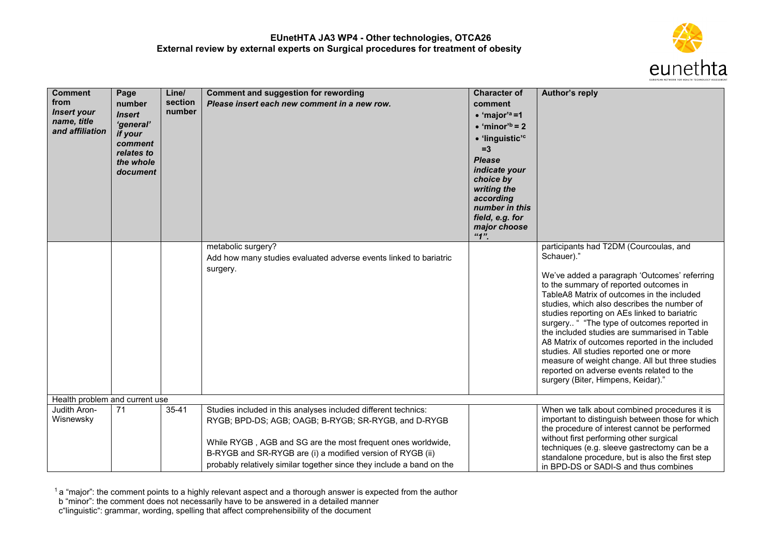

| <b>Comment</b><br>from<br><b>Insert your</b><br>name, title<br>and affiliation | Page<br>number<br><b>Insert</b><br>'general'<br>if your<br>comment<br>relates to<br>the whole<br>document | Line/<br>section<br>number | <b>Comment and suggestion for rewording</b><br>Please insert each new comment in a new row.                                                                                                                                                                                                                                   | <b>Character of</b><br>comment<br>$\bullet$ 'major' <sup>a</sup> =1<br>$\bullet$ 'minor' <sup>b</sup> = 2<br>• 'linguistic' <sup>c</sup><br>$=3$<br><b>Please</b><br>indicate your<br>choice by<br>writing the<br>according<br>number in this<br>field, e.g. for<br>major choose<br>"1" | Author's reply                                                                                                                                                                                                                                                                                                                                                                                                                                                                                                                                                                                                                  |
|--------------------------------------------------------------------------------|-----------------------------------------------------------------------------------------------------------|----------------------------|-------------------------------------------------------------------------------------------------------------------------------------------------------------------------------------------------------------------------------------------------------------------------------------------------------------------------------|-----------------------------------------------------------------------------------------------------------------------------------------------------------------------------------------------------------------------------------------------------------------------------------------|---------------------------------------------------------------------------------------------------------------------------------------------------------------------------------------------------------------------------------------------------------------------------------------------------------------------------------------------------------------------------------------------------------------------------------------------------------------------------------------------------------------------------------------------------------------------------------------------------------------------------------|
|                                                                                |                                                                                                           |                            | metabolic surgery?<br>Add how many studies evaluated adverse events linked to bariatric<br>surgery.                                                                                                                                                                                                                           |                                                                                                                                                                                                                                                                                         | participants had T2DM (Courcoulas, and<br>Schauer)."<br>We've added a paragraph 'Outcomes' referring<br>to the summary of reported outcomes in<br>TableA8 Matrix of outcomes in the included<br>studies, which also describes the number of<br>studies reporting on AEs linked to bariatric<br>surgery " "The type of outcomes reported in<br>the included studies are summarised in Table<br>A8 Matrix of outcomes reported in the included<br>studies. All studies reported one or more<br>measure of weight change. All but three studies<br>reported on adverse events related to the<br>surgery (Biter, Himpens, Keidar)." |
| Health problem and current use                                                 |                                                                                                           |                            |                                                                                                                                                                                                                                                                                                                               |                                                                                                                                                                                                                                                                                         |                                                                                                                                                                                                                                                                                                                                                                                                                                                                                                                                                                                                                                 |
| Judith Aron-<br>Wisnewsky                                                      | 71                                                                                                        | $35 - 41$                  | Studies included in this analyses included different technics:<br>RYGB; BPD-DS; AGB; OAGB; B-RYGB; SR-RYGB, and D-RYGB<br>While RYGB, AGB and SG are the most frequent ones worldwide,<br>B-RYGB and SR-RYGB are (i) a modified version of RYGB (ii)<br>probably relatively similar together since they include a band on the |                                                                                                                                                                                                                                                                                         | When we talk about combined procedures it is<br>important to distinguish between those for which<br>the procedure of interest cannot be performed<br>without first performing other surgical<br>techniques (e.g. sleeve gastrectomy can be a<br>standalone procedure, but is also the first step<br>in BPD-DS or SADI-S and thus combines                                                                                                                                                                                                                                                                                       |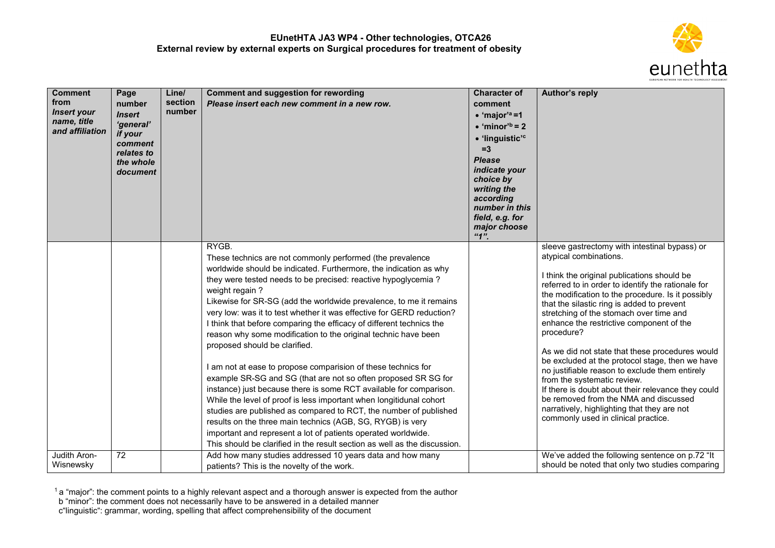

| <b>Comment</b><br>from<br><b>Insert your</b><br>name, title<br>and affiliation | Page<br>number<br><b>Insert</b><br>'general'<br>if your<br>comment<br>relates to<br>the whole<br>document | Line/<br>section<br>number | <b>Comment and suggestion for rewording</b><br>Please insert each new comment in a new row.                                                                                                                                                                                                                                                                                                                                                                                                                                                                                                                                                                                                                                                                                                                                                                                                                                                                                                                                                                                                                           | <b>Character of</b><br>comment<br>$\bullet$ 'major' <sup>a</sup> =1<br>$\bullet$ 'minor' <sup>b</sup> = 2<br>• 'linguistic' <sup>c</sup><br>$=3$<br><b>Please</b><br>indicate your<br>choice by<br>writing the<br>according<br>number in this<br>field, e.g. for<br>major choose<br>"1" | Author's reply                                                                                                                                                                                                                                                                                                                                                                                                                                                                                                                                                                                                                                                                                                                                                   |
|--------------------------------------------------------------------------------|-----------------------------------------------------------------------------------------------------------|----------------------------|-----------------------------------------------------------------------------------------------------------------------------------------------------------------------------------------------------------------------------------------------------------------------------------------------------------------------------------------------------------------------------------------------------------------------------------------------------------------------------------------------------------------------------------------------------------------------------------------------------------------------------------------------------------------------------------------------------------------------------------------------------------------------------------------------------------------------------------------------------------------------------------------------------------------------------------------------------------------------------------------------------------------------------------------------------------------------------------------------------------------------|-----------------------------------------------------------------------------------------------------------------------------------------------------------------------------------------------------------------------------------------------------------------------------------------|------------------------------------------------------------------------------------------------------------------------------------------------------------------------------------------------------------------------------------------------------------------------------------------------------------------------------------------------------------------------------------------------------------------------------------------------------------------------------------------------------------------------------------------------------------------------------------------------------------------------------------------------------------------------------------------------------------------------------------------------------------------|
|                                                                                |                                                                                                           |                            | RYGB.<br>These technics are not commonly performed (the prevalence<br>worldwide should be indicated. Furthermore, the indication as why<br>they were tested needs to be precised: reactive hypoglycemia?<br>weight regain?<br>Likewise for SR-SG (add the worldwide prevalence, to me it remains<br>very low: was it to test whether it was effective for GERD reduction?<br>I think that before comparing the efficacy of different technics the<br>reason why some modification to the original technic have been<br>proposed should be clarified.<br>I am not at ease to propose comparision of these technics for<br>example SR-SG and SG (that are not so often proposed SR SG for<br>instance) just because there is some RCT available for comparison.<br>While the level of proof is less important when longitidunal cohort<br>studies are published as compared to RCT, the number of published<br>results on the three main technics (AGB, SG, RYGB) is very<br>important and represent a lot of patients operated worldwide.<br>This should be clarified in the result section as well as the discussion. |                                                                                                                                                                                                                                                                                         | sleeve gastrectomy with intestinal bypass) or<br>atypical combinations.<br>I think the original publications should be<br>referred to in order to identify the rationale for<br>the modification to the procedure. Is it possibly<br>that the silastic ring is added to prevent<br>stretching of the stomach over time and<br>enhance the restrictive component of the<br>procedure?<br>As we did not state that these procedures would<br>be excluded at the protocol stage, then we have<br>no justifiable reason to exclude them entirely<br>from the systematic review.<br>If there is doubt about their relevance they could<br>be removed from the NMA and discussed<br>narratively, highlighting that they are not<br>commonly used in clinical practice. |
| Judith Aron-<br>Wisnewsky                                                      | $\overline{72}$                                                                                           |                            | Add how many studies addressed 10 years data and how many<br>patients? This is the novelty of the work.                                                                                                                                                                                                                                                                                                                                                                                                                                                                                                                                                                                                                                                                                                                                                                                                                                                                                                                                                                                                               |                                                                                                                                                                                                                                                                                         | We've added the following sentence on p.72 "It<br>should be noted that only two studies comparing                                                                                                                                                                                                                                                                                                                                                                                                                                                                                                                                                                                                                                                                |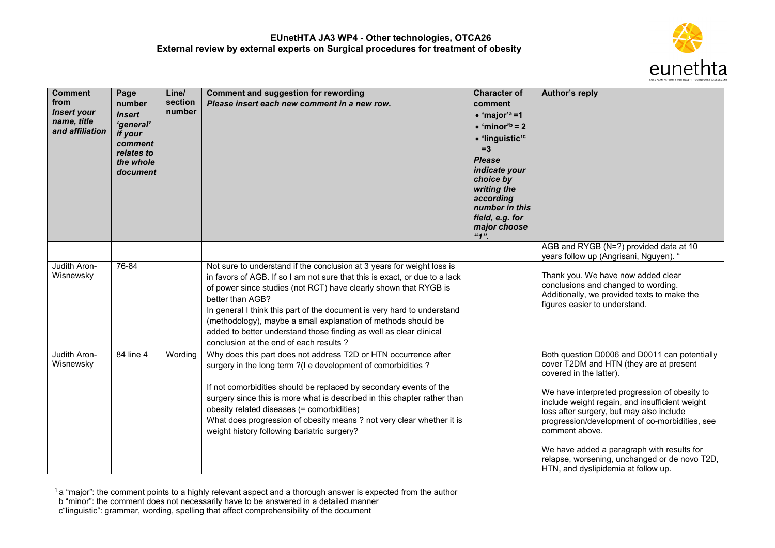

| <b>Comment</b><br>from<br><b>Insert your</b><br>name, title<br>and affiliation | Page<br>number<br><b>Insert</b><br>'general'<br>if your<br>comment<br>relates to<br>the whole<br>document | Line/<br>section<br>number | <b>Comment and suggestion for rewording</b><br>Please insert each new comment in a new row.                                                                                                                                                                                                                                                                                                                                                                                                              | <b>Character of</b><br>comment<br>$\bullet$ 'major' <sup>a</sup> =1<br>$\bullet$ 'minor' <sup>b</sup> = 2<br>• 'linguistic' <sup>c</sup><br>$=3$<br><b>Please</b><br>indicate your<br>choice by<br>writing the<br>according<br>number in this<br>field, e.g. for<br>major choose<br>"1" | Author's reply                                                                                                                                                                                                                                                                                                                                                                                                                                                               |
|--------------------------------------------------------------------------------|-----------------------------------------------------------------------------------------------------------|----------------------------|----------------------------------------------------------------------------------------------------------------------------------------------------------------------------------------------------------------------------------------------------------------------------------------------------------------------------------------------------------------------------------------------------------------------------------------------------------------------------------------------------------|-----------------------------------------------------------------------------------------------------------------------------------------------------------------------------------------------------------------------------------------------------------------------------------------|------------------------------------------------------------------------------------------------------------------------------------------------------------------------------------------------------------------------------------------------------------------------------------------------------------------------------------------------------------------------------------------------------------------------------------------------------------------------------|
|                                                                                |                                                                                                           |                            |                                                                                                                                                                                                                                                                                                                                                                                                                                                                                                          |                                                                                                                                                                                                                                                                                         | AGB and RYGB (N=?) provided data at 10<br>years follow up (Angrisani, Nguyen). "                                                                                                                                                                                                                                                                                                                                                                                             |
| Judith Aron-<br>Wisnewsky                                                      | 76-84                                                                                                     |                            | Not sure to understand if the conclusion at 3 years for weight loss is<br>in favors of AGB. If so I am not sure that this is exact, or due to a lack<br>of power since studies (not RCT) have clearly shown that RYGB is<br>better than AGB?<br>In general I think this part of the document is very hard to understand<br>(methodology), maybe a small explanation of methods should be<br>added to better understand those finding as well as clear clinical<br>conclusion at the end of each results? |                                                                                                                                                                                                                                                                                         | Thank you. We have now added clear<br>conclusions and changed to wording.<br>Additionally, we provided texts to make the<br>figures easier to understand.                                                                                                                                                                                                                                                                                                                    |
| Judith Aron-<br>Wisnewsky                                                      | 84 line 4                                                                                                 | Wording                    | Why does this part does not address T2D or HTN occurrence after<br>surgery in the long term ?(I e development of comorbidities ?<br>If not comorbidities should be replaced by secondary events of the<br>surgery since this is more what is described in this chapter rather than<br>obesity related diseases (= comorbidities)<br>What does progression of obesity means ? not very clear whether it is<br>weight history following bariatric surgery?                                                 |                                                                                                                                                                                                                                                                                         | Both question D0006 and D0011 can potentially<br>cover T2DM and HTN (they are at present<br>covered in the latter).<br>We have interpreted progression of obesity to<br>include weight regain, and insufficient weight<br>loss after surgery, but may also include<br>progression/development of co-morbidities, see<br>comment above.<br>We have added a paragraph with results for<br>relapse, worsening, unchanged or de novo T2D,<br>HTN, and dyslipidemia at follow up. |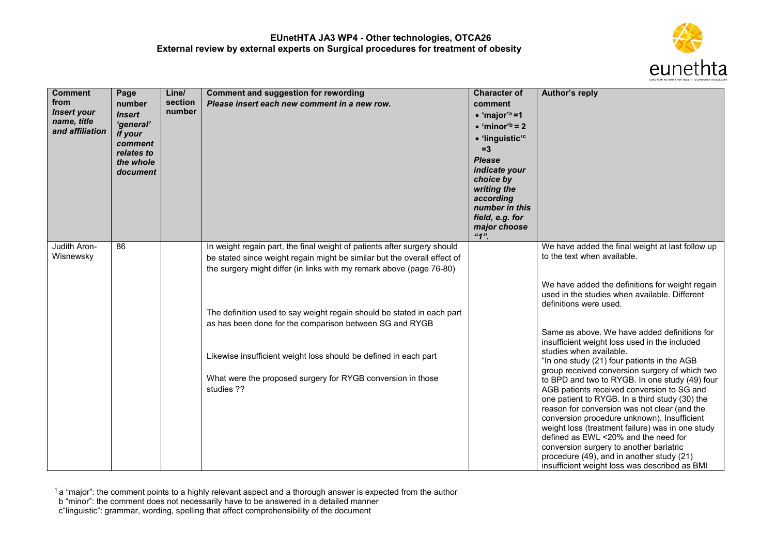

| <b>Comment</b><br>from<br><b>Insert your</b><br>name, title<br>and affiliation | Page<br>number<br><b>Insert</b><br>'general'<br>if your<br>comment<br>relates to<br>the whole<br>document | Line/<br>section<br>number | <b>Comment and suggestion for rewording</b><br>Please insert each new comment in a new row.                                                                                                                                  | <b>Character of</b><br>comment<br>$\bullet$ 'major' <sup>a</sup> =1<br>$\bullet$ 'minor' <sup>b</sup> = 2<br>• 'linguistic' <sup>c</sup><br>$=3$<br><b>Please</b><br>indicate your<br>choice by<br>writing the<br>according<br>number in this<br>field, e.g. for<br>major choose<br>"1" | Author's reply                                                                                                                                                                                                                                                                                                                                                                                                                                                                     |
|--------------------------------------------------------------------------------|-----------------------------------------------------------------------------------------------------------|----------------------------|------------------------------------------------------------------------------------------------------------------------------------------------------------------------------------------------------------------------------|-----------------------------------------------------------------------------------------------------------------------------------------------------------------------------------------------------------------------------------------------------------------------------------------|------------------------------------------------------------------------------------------------------------------------------------------------------------------------------------------------------------------------------------------------------------------------------------------------------------------------------------------------------------------------------------------------------------------------------------------------------------------------------------|
| Judith Aron-<br>Wisnewsky                                                      | 86                                                                                                        |                            | In weight regain part, the final weight of patients after surgery should<br>be stated since weight regain might be similar but the overall effect of<br>the surgery might differ (in links with my remark above (page 76-80) |                                                                                                                                                                                                                                                                                         | We have added the final weight at last follow up<br>to the text when available.                                                                                                                                                                                                                                                                                                                                                                                                    |
|                                                                                |                                                                                                           |                            | The definition used to say weight regain should be stated in each part<br>as has been done for the comparison between SG and RYGB                                                                                            |                                                                                                                                                                                                                                                                                         | We have added the definitions for weight regain<br>used in the studies when available. Different<br>definitions were used.                                                                                                                                                                                                                                                                                                                                                         |
|                                                                                |                                                                                                           |                            |                                                                                                                                                                                                                              |                                                                                                                                                                                                                                                                                         | Same as above. We have added definitions for<br>insufficient weight loss used in the included<br>studies when available.                                                                                                                                                                                                                                                                                                                                                           |
|                                                                                |                                                                                                           |                            | Likewise insufficient weight loss should be defined in each part<br>What were the proposed surgery for RYGB conversion in those                                                                                              |                                                                                                                                                                                                                                                                                         | "In one study (21) four patients in the AGB<br>group received conversion surgery of which two                                                                                                                                                                                                                                                                                                                                                                                      |
|                                                                                |                                                                                                           |                            | studies ??                                                                                                                                                                                                                   |                                                                                                                                                                                                                                                                                         | to BPD and two to RYGB. In one study (49) four<br>AGB patients received conversion to SG and<br>one patient to RYGB. In a third study (30) the<br>reason for conversion was not clear (and the<br>conversion procedure unknown). Insufficient<br>weight loss (treatment failure) was in one study<br>defined as EWL <20% and the need for<br>conversion surgery to another bariatric<br>procedure (49), and in another study (21)<br>insufficient weight loss was described as BMI |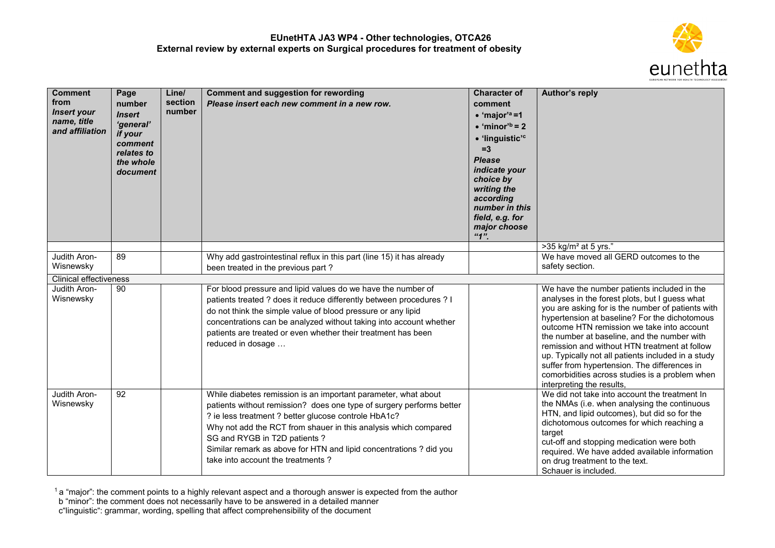

| <b>Comment</b><br>from<br><b>Insert your</b><br>name, title<br>and affiliation | Page<br>number<br><b>Insert</b><br>'general'<br>if your<br>comment<br>relates to<br>the whole<br>document | Line/<br>section<br>number | <b>Comment and suggestion for rewording</b><br>Please insert each new comment in a new row.                                                                                                                                                                                                                                                                                                                  | <b>Character of</b><br>comment<br>$\bullet$ 'major' <sup>a</sup> =1<br>$\bullet$ 'minor' <sup>b</sup> = 2<br>· 'linguistic' <sup>c</sup><br>$=3$<br><b>Please</b><br>indicate your<br>choice by<br>writing the<br>according<br>number in this<br>field, e.g. for<br>major choose<br>"1" | <b>Author's reply</b>                                                                                                                                                                                                                                                                                                                                                                                                                                                                                                                  |
|--------------------------------------------------------------------------------|-----------------------------------------------------------------------------------------------------------|----------------------------|--------------------------------------------------------------------------------------------------------------------------------------------------------------------------------------------------------------------------------------------------------------------------------------------------------------------------------------------------------------------------------------------------------------|-----------------------------------------------------------------------------------------------------------------------------------------------------------------------------------------------------------------------------------------------------------------------------------------|----------------------------------------------------------------------------------------------------------------------------------------------------------------------------------------------------------------------------------------------------------------------------------------------------------------------------------------------------------------------------------------------------------------------------------------------------------------------------------------------------------------------------------------|
|                                                                                |                                                                                                           |                            |                                                                                                                                                                                                                                                                                                                                                                                                              |                                                                                                                                                                                                                                                                                         | $>35$ kg/m <sup>2</sup> at 5 yrs."                                                                                                                                                                                                                                                                                                                                                                                                                                                                                                     |
| Judith Aron-<br>Wisnewsky                                                      | 89                                                                                                        |                            | Why add gastrointestinal reflux in this part (line 15) it has already<br>been treated in the previous part?                                                                                                                                                                                                                                                                                                  |                                                                                                                                                                                                                                                                                         | We have moved all GERD outcomes to the<br>safety section.                                                                                                                                                                                                                                                                                                                                                                                                                                                                              |
| <b>Clinical effectiveness</b>                                                  |                                                                                                           |                            |                                                                                                                                                                                                                                                                                                                                                                                                              |                                                                                                                                                                                                                                                                                         |                                                                                                                                                                                                                                                                                                                                                                                                                                                                                                                                        |
| Judith Aron-<br>Wisnewsky                                                      | 90                                                                                                        |                            | For blood pressure and lipid values do we have the number of<br>patients treated ? does it reduce differently between procedures ? I<br>do not think the simple value of blood pressure or any lipid<br>concentrations can be analyzed without taking into account whether<br>patients are treated or even whether their treatment has been<br>reduced in dosage                                             |                                                                                                                                                                                                                                                                                         | We have the number patients included in the<br>analyses in the forest plots, but I guess what<br>you are asking for is the number of patients with<br>hypertension at baseline? For the dichotomous<br>outcome HTN remission we take into account<br>the number at baseline, and the number with<br>remission and without HTN treatment at follow<br>up. Typically not all patients included in a study<br>suffer from hypertension. The differences in<br>comorbidities across studies is a problem when<br>interpreting the results, |
| Judith Aron-<br>Wisnewsky                                                      | $\overline{92}$                                                                                           |                            | While diabetes remission is an important parameter, what about<br>patients without remission? does one type of surgery performs better<br>? ie less treatment ? better glucose controle HbA1c?<br>Why not add the RCT from shauer in this analysis which compared<br>SG and RYGB in T2D patients?<br>Similar remark as above for HTN and lipid concentrations ? did you<br>take into account the treatments? |                                                                                                                                                                                                                                                                                         | We did not take into account the treatment In<br>the NMAs (i.e. when analysing the continuous<br>HTN, and lipid outcomes), but did so for the<br>dichotomous outcomes for which reaching a<br>target<br>cut-off and stopping medication were both<br>required. We have added available information<br>on drug treatment to the text.<br>Schauer is included.                                                                                                                                                                           |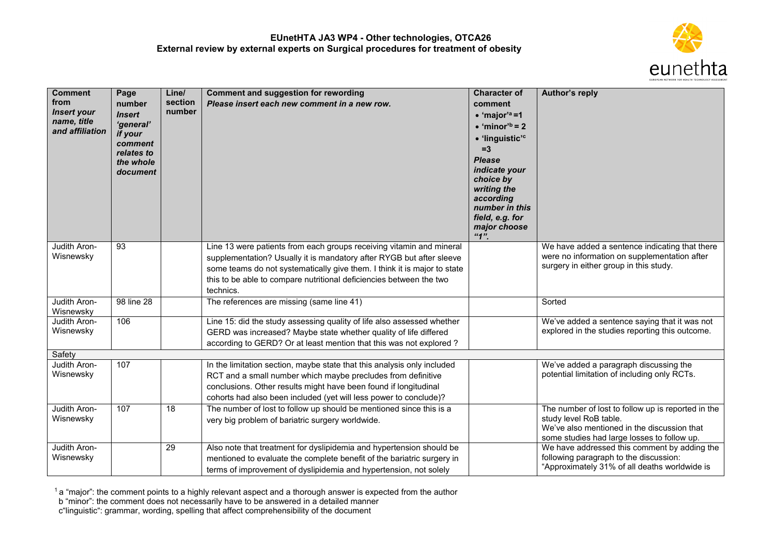

| <b>Comment</b>                    | Page               | Line/           | <b>Comment and suggestion for rewording</b>                              | <b>Character of</b>                | Author's reply                                                                              |
|-----------------------------------|--------------------|-----------------|--------------------------------------------------------------------------|------------------------------------|---------------------------------------------------------------------------------------------|
| from                              | number             | section         | Please insert each new comment in a new row.                             | comment                            |                                                                                             |
| <b>Insert your</b><br>name, title | <b>Insert</b>      | number          |                                                                          | $\bullet$ 'major' <sup>a</sup> =1  |                                                                                             |
| and affiliation                   | 'general'          |                 |                                                                          | $\bullet$ 'minor' <sup>b</sup> = 2 |                                                                                             |
|                                   | if your<br>comment |                 |                                                                          | • 'linguistic' <sup>c</sup>        |                                                                                             |
|                                   | relates to         |                 |                                                                          | $=3$                               |                                                                                             |
|                                   | the whole          |                 |                                                                          | <b>Please</b>                      |                                                                                             |
|                                   | document           |                 |                                                                          | indicate your<br>choice by         |                                                                                             |
|                                   |                    |                 |                                                                          | writing the                        |                                                                                             |
|                                   |                    |                 |                                                                          | according                          |                                                                                             |
|                                   |                    |                 |                                                                          | number in this                     |                                                                                             |
|                                   |                    |                 |                                                                          | field, e.g. for<br>major choose    |                                                                                             |
|                                   |                    |                 |                                                                          | "1"                                |                                                                                             |
| Judith Aron-                      | 93                 |                 | Line 13 were patients from each groups receiving vitamin and mineral     |                                    | We have added a sentence indicating that there                                              |
| Wisnewsky                         |                    |                 | supplementation? Usually it is mandatory after RYGB but after sleeve     |                                    | were no information on supplementation after                                                |
|                                   |                    |                 | some teams do not systematically give them. I think it is major to state |                                    | surgery in either group in this study.                                                      |
|                                   |                    |                 | this to be able to compare nutritional deficiencies between the two      |                                    |                                                                                             |
|                                   |                    |                 | technics.                                                                |                                    |                                                                                             |
| Judith Aron-                      | 98 line 28         |                 | The references are missing (same line $41$ )                             |                                    | Sorted                                                                                      |
| Wisnewsky<br>Judith Aron-         | 106                |                 | Line 15: did the study assessing quality of life also assessed whether   |                                    | We've added a sentence saying that it was not                                               |
| Wisnewsky                         |                    |                 | GERD was increased? Maybe state whether quality of life differed         |                                    | explored in the studies reporting this outcome.                                             |
|                                   |                    |                 | according to GERD? Or at least mention that this was not explored ?      |                                    |                                                                                             |
| Safety                            |                    |                 |                                                                          |                                    |                                                                                             |
| Judith Aron-                      | 107                |                 | In the limitation section, maybe state that this analysis only included  |                                    | We've added a paragraph discussing the                                                      |
| Wisnewsky                         |                    |                 | RCT and a small number which maybe precludes from definitive             |                                    | potential limitation of including only RCTs.                                                |
|                                   |                    |                 | conclusions. Other results might have been found if longitudinal         |                                    |                                                                                             |
|                                   |                    |                 | cohorts had also been included (yet will less power to conclude)?        |                                    |                                                                                             |
| Judith Aron-                      | 107                | $\overline{18}$ | The number of lost to follow up should be mentioned since this is a      |                                    | The number of lost to follow up is reported in the                                          |
| Wisnewsky                         |                    |                 | very big problem of bariatric surgery worldwide.                         |                                    | study level RoB table.                                                                      |
|                                   |                    |                 |                                                                          |                                    | We've also mentioned in the discussion that                                                 |
| Judith Aron-                      |                    | 29              | Also note that treatment for dyslipidemia and hypertension should be     |                                    | some studies had large losses to follow up.<br>We have addressed this comment by adding the |
| Wisnewsky                         |                    |                 | mentioned to evaluate the complete benefit of the bariatric surgery in   |                                    | following paragraph to the discussion:                                                      |
|                                   |                    |                 | terms of improvement of dyslipidemia and hypertension, not solely        |                                    | "Approximately 31% of all deaths worldwide is                                               |
|                                   |                    |                 |                                                                          |                                    |                                                                                             |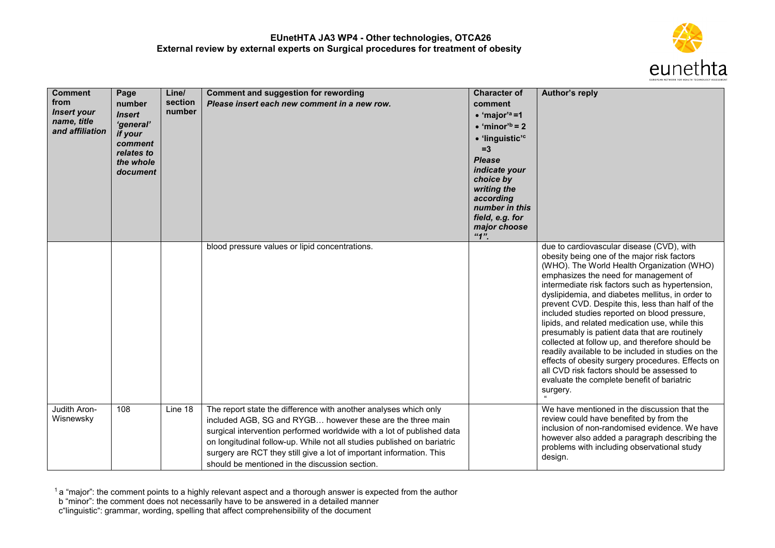

| <b>Comment</b><br>from<br><b>Insert your</b><br>name, title<br>and affiliation | Page<br>number<br><b>Insert</b><br>'general'<br>if your<br>comment<br>relates to<br>the whole<br>document | Line/<br>section<br>number | <b>Comment and suggestion for rewording</b><br>Please insert each new comment in a new row.                                                                                                                                                                                                                                                                                                                   | <b>Character of</b><br>comment<br>$\bullet$ 'major' <sup>a</sup> =1<br>$\bullet$ 'minor' <sup>b</sup> = 2<br>• 'linguistic' <sup>c</sup><br>$=3$<br><b>Please</b><br>indicate your<br>choice by<br>writing the<br>according<br>number in this<br>field, e.g. for<br>major choose<br>"1" | Author's reply                                                                                                                                                                                                                                                                                                                                                                                                                                                                                                                                                                                                                                                                                                                                                      |
|--------------------------------------------------------------------------------|-----------------------------------------------------------------------------------------------------------|----------------------------|---------------------------------------------------------------------------------------------------------------------------------------------------------------------------------------------------------------------------------------------------------------------------------------------------------------------------------------------------------------------------------------------------------------|-----------------------------------------------------------------------------------------------------------------------------------------------------------------------------------------------------------------------------------------------------------------------------------------|---------------------------------------------------------------------------------------------------------------------------------------------------------------------------------------------------------------------------------------------------------------------------------------------------------------------------------------------------------------------------------------------------------------------------------------------------------------------------------------------------------------------------------------------------------------------------------------------------------------------------------------------------------------------------------------------------------------------------------------------------------------------|
|                                                                                |                                                                                                           |                            | blood pressure values or lipid concentrations.                                                                                                                                                                                                                                                                                                                                                                |                                                                                                                                                                                                                                                                                         | due to cardiovascular disease (CVD), with<br>obesity being one of the major risk factors<br>(WHO). The World Health Organization (WHO)<br>emphasizes the need for management of<br>intermediate risk factors such as hypertension,<br>dyslipidemia, and diabetes mellitus, in order to<br>prevent CVD. Despite this, less than half of the<br>included studies reported on blood pressure,<br>lipids, and related medication use, while this<br>presumably is patient data that are routinely<br>collected at follow up, and therefore should be<br>readily available to be included in studies on the<br>effects of obesity surgery procedures. Effects on<br>all CVD risk factors should be assessed to<br>evaluate the complete benefit of bariatric<br>surgery. |
| Judith Aron-<br>Wisnewsky                                                      | 108                                                                                                       | Line 18                    | The report state the difference with another analyses which only<br>included AGB, SG and RYGB however these are the three main<br>surgical intervention performed worldwide with a lot of published data<br>on longitudinal follow-up. While not all studies published on bariatric<br>surgery are RCT they still give a lot of important information. This<br>should be mentioned in the discussion section. |                                                                                                                                                                                                                                                                                         | We have mentioned in the discussion that the<br>review could have benefited by from the<br>inclusion of non-randomised evidence. We have<br>however also added a paragraph describing the<br>problems with including observational study<br>design.                                                                                                                                                                                                                                                                                                                                                                                                                                                                                                                 |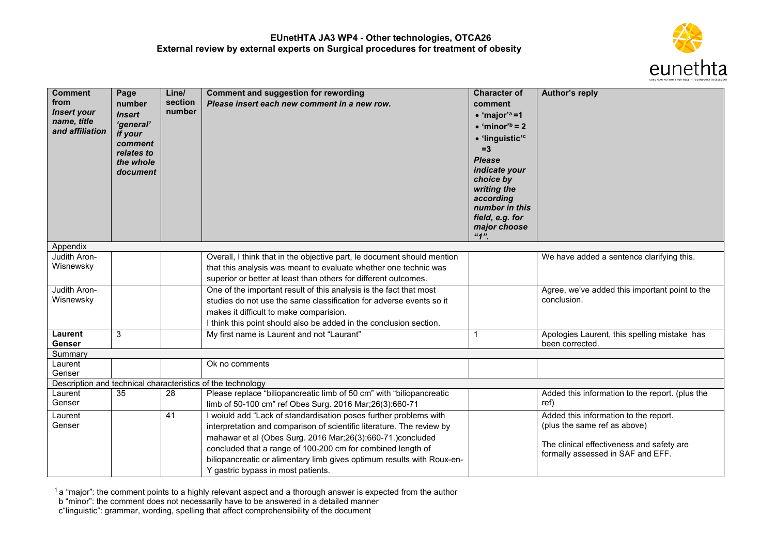

| <b>Comment</b><br>from<br><b>Insert your</b><br>name, title<br>and affiliation | Page<br>number<br><b>Insert</b><br>'general'              | Line/<br>section<br>number | <b>Comment and suggestion for rewording</b><br>Please insert each new comment in a new row. | <b>Character of</b><br>comment<br>$\bullet$ 'major' <sup>a</sup> =1<br>$\bullet$ 'minor' <sup>b</sup> = 2                                                                  | Author's reply                                                  |
|--------------------------------------------------------------------------------|-----------------------------------------------------------|----------------------------|---------------------------------------------------------------------------------------------|----------------------------------------------------------------------------------------------------------------------------------------------------------------------------|-----------------------------------------------------------------|
|                                                                                | if your<br>comment<br>relates to<br>the whole<br>document |                            |                                                                                             | · 'linguistic' <sup>c</sup><br>$=3$<br><b>Please</b><br>indicate your<br>choice by<br>writing the<br>according<br>number in this<br>field, e.g. for<br>major choose<br>"1" |                                                                 |
| Appendix                                                                       |                                                           |                            |                                                                                             |                                                                                                                                                                            |                                                                 |
| Judith Aron-                                                                   |                                                           |                            | Overall, I think that in the objective part, le document should mention                     |                                                                                                                                                                            | We have added a sentence clarifying this.                       |
| Wisnewsky                                                                      |                                                           |                            | that this analysis was meant to evaluate whether one technic was                            |                                                                                                                                                                            |                                                                 |
|                                                                                |                                                           |                            | superior or better at least than others for different outcomes.                             |                                                                                                                                                                            |                                                                 |
| Judith Aron-                                                                   |                                                           |                            | One of the important result of this analysis is the fact that most                          |                                                                                                                                                                            | Agree, we've added this important point to the                  |
| Wisnewsky                                                                      |                                                           |                            | studies do not use the same classification for adverse events so it                         |                                                                                                                                                                            | conclusion.                                                     |
|                                                                                |                                                           |                            | makes it difficult to make comparision.                                                     |                                                                                                                                                                            |                                                                 |
|                                                                                |                                                           |                            | I think this point should also be added in the conclusion section.                          |                                                                                                                                                                            |                                                                 |
| Laurent<br><b>Genser</b>                                                       | 3                                                         |                            | My first name is Laurent and not "Laurant"                                                  | $\mathbf 1$                                                                                                                                                                | Apologies Laurent, this spelling mistake has<br>been corrected. |
| Summary                                                                        |                                                           |                            |                                                                                             |                                                                                                                                                                            |                                                                 |
| Laurent<br>Genser                                                              |                                                           |                            | Ok no comments                                                                              |                                                                                                                                                                            |                                                                 |
|                                                                                |                                                           |                            | Description and technical characteristics of the technology                                 |                                                                                                                                                                            |                                                                 |
| Laurent                                                                        | 35                                                        | 28                         | Please replace "biliopancreatic limb of 50 cm" with "biliopancreatic                        |                                                                                                                                                                            | Added this information to the report. (plus the                 |
| Genser                                                                         |                                                           |                            | limb of 50-100 cm" ref Obes Surg. 2016 Mar;26(3):660-71                                     |                                                                                                                                                                            | ref)                                                            |
| Laurent                                                                        |                                                           | 41                         | I woiuld add "Lack of standardisation poses further problems with                           |                                                                                                                                                                            | Added this information to the report.                           |
| Genser                                                                         |                                                           |                            | interpretation and comparison of scientific literature. The review by                       |                                                                                                                                                                            | (plus the same ref as above)                                    |
|                                                                                |                                                           |                            | mahawar et al (Obes Surg. 2016 Mar;26(3):660-71.)concluded                                  |                                                                                                                                                                            | The clinical effectiveness and safety are                       |
|                                                                                |                                                           |                            | concluded that a range of 100-200 cm for combined length of                                 |                                                                                                                                                                            | formally assessed in SAF and EFF.                               |
|                                                                                |                                                           |                            | biliopancreatic or alimentary limb gives optimum results with Roux-en-                      |                                                                                                                                                                            |                                                                 |
|                                                                                |                                                           |                            | Y gastric bypass in most patients.                                                          |                                                                                                                                                                            |                                                                 |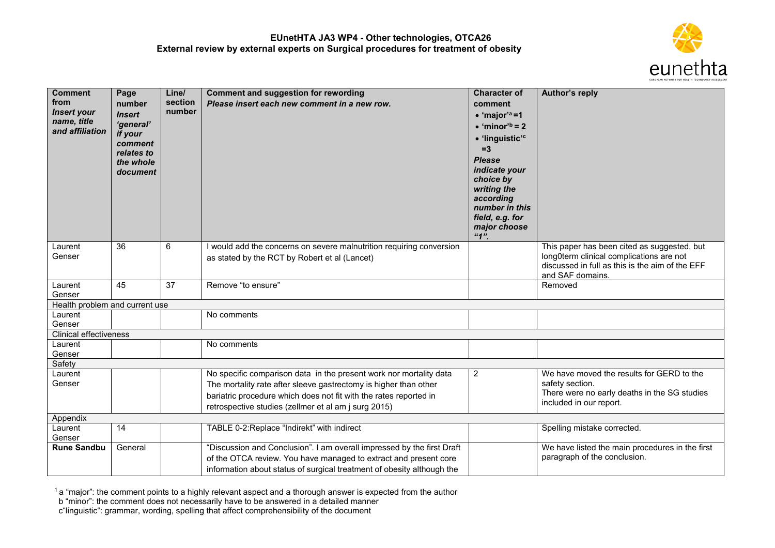

| <b>Comment</b><br>from<br><b>Insert your</b><br>name, title<br>and affiliation | Page<br>number<br><b>Insert</b><br>'general'<br>if your<br>comment<br>relates to<br>the whole<br>document | Line/<br>section<br>number | <b>Comment and suggestion for rewording</b><br>Please insert each new comment in a new row.                                                                                                                                                                         | <b>Character of</b><br>comment<br>$\bullet$ 'major' <sup>a</sup> =1<br>$\bullet$ 'minor' <sup>b</sup> = 2<br>· 'linguistic' <sup>c</sup><br>$=3$<br><b>Please</b><br>indicate your<br>choice by<br>writing the<br>according<br>number in this<br>field, e.g. for<br>major choose | <b>Author's reply</b>                                                                                                                   |
|--------------------------------------------------------------------------------|-----------------------------------------------------------------------------------------------------------|----------------------------|---------------------------------------------------------------------------------------------------------------------------------------------------------------------------------------------------------------------------------------------------------------------|----------------------------------------------------------------------------------------------------------------------------------------------------------------------------------------------------------------------------------------------------------------------------------|-----------------------------------------------------------------------------------------------------------------------------------------|
| Laurent                                                                        | 36                                                                                                        | 6                          | I would add the concerns on severe malnutrition requiring conversion                                                                                                                                                                                                | "1"                                                                                                                                                                                                                                                                              | This paper has been cited as suggested, but                                                                                             |
| Genser                                                                         |                                                                                                           |                            | as stated by the RCT by Robert et al (Lancet)                                                                                                                                                                                                                       |                                                                                                                                                                                                                                                                                  | long0term clinical complications are not<br>discussed in full as this is the aim of the EFF<br>and SAF domains.                         |
| Laurent<br>Genser                                                              | 45                                                                                                        | 37                         | Remove "to ensure"                                                                                                                                                                                                                                                  |                                                                                                                                                                                                                                                                                  | Removed                                                                                                                                 |
| Health problem and current use                                                 |                                                                                                           |                            |                                                                                                                                                                                                                                                                     |                                                                                                                                                                                                                                                                                  |                                                                                                                                         |
| Laurent<br>Genser                                                              |                                                                                                           |                            | No comments                                                                                                                                                                                                                                                         |                                                                                                                                                                                                                                                                                  |                                                                                                                                         |
| <b>Clinical effectiveness</b>                                                  |                                                                                                           |                            |                                                                                                                                                                                                                                                                     |                                                                                                                                                                                                                                                                                  |                                                                                                                                         |
| Laurent<br>Genser                                                              |                                                                                                           |                            | No comments                                                                                                                                                                                                                                                         |                                                                                                                                                                                                                                                                                  |                                                                                                                                         |
| Safety                                                                         |                                                                                                           |                            |                                                                                                                                                                                                                                                                     |                                                                                                                                                                                                                                                                                  |                                                                                                                                         |
| Laurent<br>Genser                                                              |                                                                                                           |                            | No specific comparison data in the present work nor mortality data<br>The mortality rate after sleeve gastrectomy is higher than other<br>bariatric procedure which does not fit with the rates reported in<br>retrospective studies (zellmer et al am j surg 2015) | $\overline{2}$                                                                                                                                                                                                                                                                   | We have moved the results for GERD to the<br>safety section.<br>There were no early deaths in the SG studies<br>included in our report. |
| Appendix                                                                       |                                                                                                           |                            |                                                                                                                                                                                                                                                                     |                                                                                                                                                                                                                                                                                  |                                                                                                                                         |
| Laurent<br>Genser                                                              | 14                                                                                                        |                            | TABLE 0-2: Replace "Indirekt" with indirect                                                                                                                                                                                                                         |                                                                                                                                                                                                                                                                                  | Spelling mistake corrected.                                                                                                             |
| <b>Rune Sandbu</b>                                                             | General                                                                                                   |                            | "Discussion and Conclusion". I am overall impressed by the first Draft<br>of the OTCA review. You have managed to extract and present core<br>information about status of surgical treatment of obesity although the                                                |                                                                                                                                                                                                                                                                                  | We have listed the main procedures in the first<br>paragraph of the conclusion.                                                         |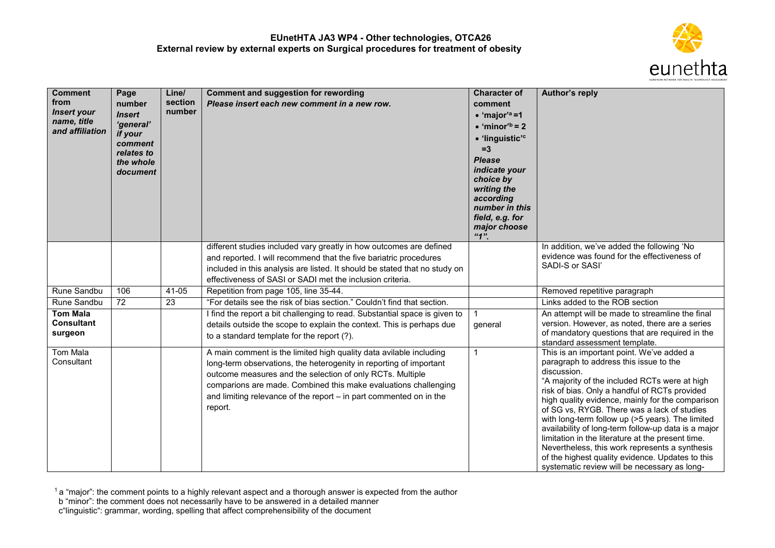

| <b>Comment</b><br>from<br><b>Insert your</b><br>name, title<br>and affiliation | Page<br>number<br><b>Insert</b><br>'general'<br>if your<br>comment<br>relates to<br>the whole<br>document | Line/<br>section<br>number | <b>Comment and suggestion for rewording</b><br>Please insert each new comment in a new row.                                                                                                                                                                                                                                                               | <b>Character of</b><br>comment<br>$\bullet$ 'major' <sup>a</sup> =1<br>$\bullet$ 'minor' <sup>b</sup> = 2<br>• 'linguistic' <sup>c</sup><br>$=3$<br><b>Please</b><br>indicate your<br>choice by<br>writing the<br>according<br>number in this<br>field, e.g. for<br>major choose<br>"1" | Author's reply                                                                                                                                                                                                                                                                                                                                                                                                                                                                                                                                                                                                                |
|--------------------------------------------------------------------------------|-----------------------------------------------------------------------------------------------------------|----------------------------|-----------------------------------------------------------------------------------------------------------------------------------------------------------------------------------------------------------------------------------------------------------------------------------------------------------------------------------------------------------|-----------------------------------------------------------------------------------------------------------------------------------------------------------------------------------------------------------------------------------------------------------------------------------------|-------------------------------------------------------------------------------------------------------------------------------------------------------------------------------------------------------------------------------------------------------------------------------------------------------------------------------------------------------------------------------------------------------------------------------------------------------------------------------------------------------------------------------------------------------------------------------------------------------------------------------|
|                                                                                |                                                                                                           |                            | different studies included vary greatly in how outcomes are defined<br>and reported. I will recommend that the five bariatric procedures<br>included in this analysis are listed. It should be stated that no study on<br>effectiveness of SASI or SADI met the inclusion criteria.                                                                       |                                                                                                                                                                                                                                                                                         | In addition, we've added the following 'No<br>evidence was found for the effectiveness of<br>SADI-S or SASI'                                                                                                                                                                                                                                                                                                                                                                                                                                                                                                                  |
| Rune Sandbu                                                                    | 106                                                                                                       | 41-05                      | Repetition from page 105, line 35-44.                                                                                                                                                                                                                                                                                                                     |                                                                                                                                                                                                                                                                                         | Removed repetitive paragraph                                                                                                                                                                                                                                                                                                                                                                                                                                                                                                                                                                                                  |
| Rune Sandbu                                                                    | $\overline{72}$                                                                                           | 23                         | "For details see the risk of bias section." Couldn't find that section.                                                                                                                                                                                                                                                                                   |                                                                                                                                                                                                                                                                                         | Links added to the ROB section                                                                                                                                                                                                                                                                                                                                                                                                                                                                                                                                                                                                |
| <b>Tom Mala</b><br><b>Consultant</b><br>surgeon                                |                                                                                                           |                            | I find the report a bit challenging to read. Substantial space is given to<br>details outside the scope to explain the context. This is perhaps due<br>to a standard template for the report (?).                                                                                                                                                         | $\overline{1}$<br>general                                                                                                                                                                                                                                                               | An attempt will be made to streamline the final<br>version. However, as noted, there are a series<br>of mandatory questions that are required in the<br>standard assessment template.                                                                                                                                                                                                                                                                                                                                                                                                                                         |
| Tom Mala<br>Consultant                                                         |                                                                                                           |                            | A main comment is the limited high quality data avilable including<br>long-term observations, the heterogenity in reporting of important<br>outcome measures and the selection of only RCTs. Multiple<br>comparions are made. Combined this make evaluations challenging<br>and limiting relevance of the report – in part commented on in the<br>report. | $\mathbf{1}$                                                                                                                                                                                                                                                                            | This is an important point. We've added a<br>paragraph to address this issue to the<br>discussion.<br>"A majority of the included RCTs were at high<br>risk of bias. Only a handful of RCTs provided<br>high quality evidence, mainly for the comparison<br>of SG vs, RYGB. There was a lack of studies<br>with long-term follow up (>5 years). The limited<br>availability of long-term follow-up data is a major<br>limitation in the literature at the present time.<br>Nevertheless, this work represents a synthesis<br>of the highest quality evidence. Updates to this<br>systematic review will be necessary as long- |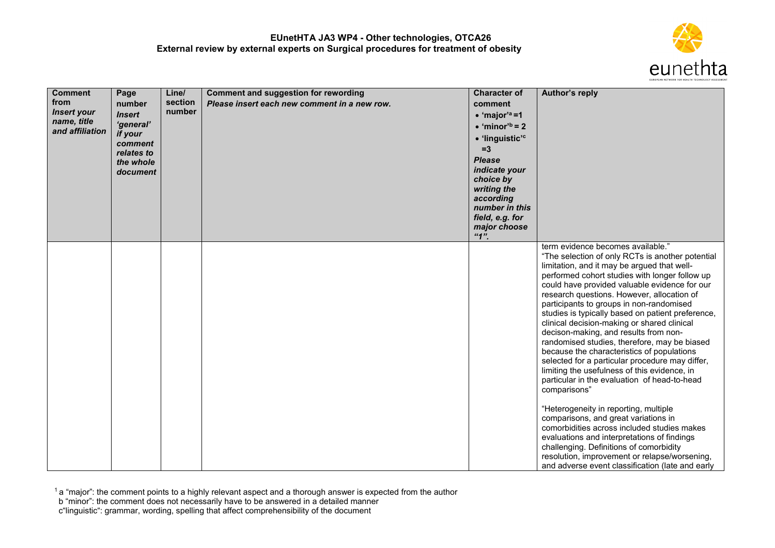

| <b>Comment</b><br>from<br><b>Insert your</b><br>name, title<br>and affiliation | Page<br>number<br><b>Insert</b><br>'general'<br>if your<br>comment<br>relates to<br>the whole<br>document | Line/<br>section<br>number | Comment and suggestion for rewording<br>Please insert each new comment in a new row. | <b>Character of</b><br>comment<br>$\bullet$ 'major' <sup>a</sup> =1<br>$\bullet$ 'minor' <sup>b</sup> = 2<br>• 'linguistic' <sup>c</sup><br>$=3$<br><b>Please</b><br>indicate your<br>choice by<br>writing the<br>according<br>number in this<br>field, e.g. for<br>major choose<br>"1" | Author's reply                                                                                                                                                                                                                                                                                                                                                                                                                                                                                                                                                                                                                                                                                                                                                                                                                                                                                                                                                                                                                                                                 |
|--------------------------------------------------------------------------------|-----------------------------------------------------------------------------------------------------------|----------------------------|--------------------------------------------------------------------------------------|-----------------------------------------------------------------------------------------------------------------------------------------------------------------------------------------------------------------------------------------------------------------------------------------|--------------------------------------------------------------------------------------------------------------------------------------------------------------------------------------------------------------------------------------------------------------------------------------------------------------------------------------------------------------------------------------------------------------------------------------------------------------------------------------------------------------------------------------------------------------------------------------------------------------------------------------------------------------------------------------------------------------------------------------------------------------------------------------------------------------------------------------------------------------------------------------------------------------------------------------------------------------------------------------------------------------------------------------------------------------------------------|
|                                                                                |                                                                                                           |                            |                                                                                      |                                                                                                                                                                                                                                                                                         | term evidence becomes available."<br>"The selection of only RCTs is another potential<br>limitation, and it may be argued that well-<br>performed cohort studies with longer follow up<br>could have provided valuable evidence for our<br>research questions. However, allocation of<br>participants to groups in non-randomised<br>studies is typically based on patient preference,<br>clinical decision-making or shared clinical<br>decison-making, and results from non-<br>randomised studies, therefore, may be biased<br>because the characteristics of populations<br>selected for a particular procedure may differ,<br>limiting the usefulness of this evidence, in<br>particular in the evaluation of head-to-head<br>comparisons"<br>"Heterogeneity in reporting, multiple<br>comparisons, and great variations in<br>comorbidities across included studies makes<br>evaluations and interpretations of findings<br>challenging. Definitions of comorbidity<br>resolution, improvement or relapse/worsening,<br>and adverse event classification (late and early |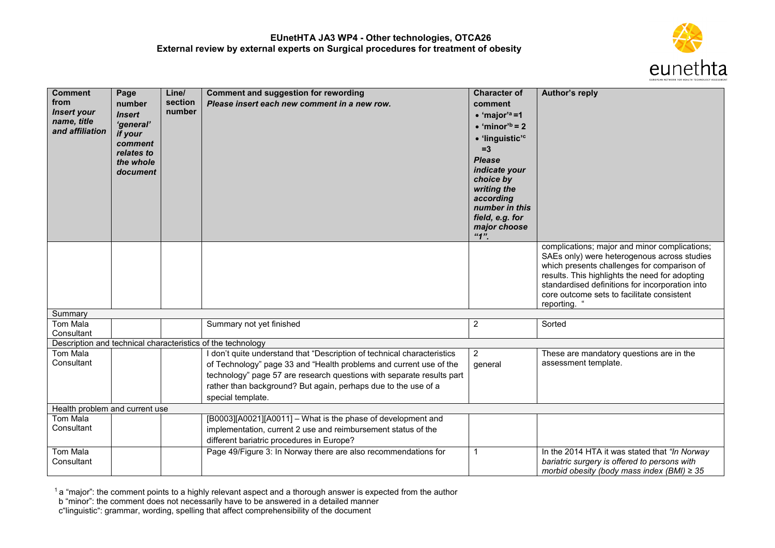

| <b>Comment</b><br>from<br><b>Insert your</b><br>name, title<br>and affiliation | Page<br>number<br><b>Insert</b><br>'general'<br>if your | Line/<br>section<br>number | <b>Comment and suggestion for rewording</b><br>Please insert each new comment in a new row.                                                                                                                            | <b>Character of</b><br>comment<br>$\bullet$ 'major' <sup>a</sup> =1<br>$\bullet$ 'minor' <sup>b</sup> = 2                                                                     | Author's reply                                                                                                                                                                                                                                                                                                 |
|--------------------------------------------------------------------------------|---------------------------------------------------------|----------------------------|------------------------------------------------------------------------------------------------------------------------------------------------------------------------------------------------------------------------|-------------------------------------------------------------------------------------------------------------------------------------------------------------------------------|----------------------------------------------------------------------------------------------------------------------------------------------------------------------------------------------------------------------------------------------------------------------------------------------------------------|
|                                                                                | comment<br>relates to<br>the whole<br>document          |                            |                                                                                                                                                                                                                        | · 'linguistic' <sup>c</sup><br>$=3$<br><b>Please</b><br>indicate your<br>choice by<br>writing the<br>according<br>number in this<br>field, e.g. for<br>major choose<br>$4n$ . |                                                                                                                                                                                                                                                                                                                |
|                                                                                |                                                         |                            |                                                                                                                                                                                                                        |                                                                                                                                                                               | complications; major and minor complications;<br>SAEs only) were heterogenous across studies<br>which presents challenges for comparison of<br>results. This highlights the need for adopting<br>standardised definitions for incorporation into<br>core outcome sets to facilitate consistent<br>reporting. " |
| Summary                                                                        |                                                         |                            |                                                                                                                                                                                                                        |                                                                                                                                                                               |                                                                                                                                                                                                                                                                                                                |
| <b>Tom Mala</b><br>Consultant                                                  |                                                         |                            | Summary not yet finished                                                                                                                                                                                               | $\overline{c}$                                                                                                                                                                | Sorted                                                                                                                                                                                                                                                                                                         |
|                                                                                |                                                         |                            | Description and technical characteristics of the technology                                                                                                                                                            |                                                                                                                                                                               |                                                                                                                                                                                                                                                                                                                |
| <b>Tom Mala</b><br>Consultant                                                  |                                                         |                            | I don't quite understand that "Description of technical characteristics<br>of Technology" page 33 and "Health problems and current use of the<br>technology" page 57 are research questions with separate results part | $\overline{2}$<br>general                                                                                                                                                     | These are mandatory questions are in the<br>assessment template.                                                                                                                                                                                                                                               |
|                                                                                |                                                         |                            | rather than background? But again, perhaps due to the use of a<br>special template.                                                                                                                                    |                                                                                                                                                                               |                                                                                                                                                                                                                                                                                                                |
| Health problem and current use                                                 |                                                         |                            |                                                                                                                                                                                                                        |                                                                                                                                                                               |                                                                                                                                                                                                                                                                                                                |
| Tom Mala<br>Consultant                                                         |                                                         |                            | [B0003][A0021][A0011] - What is the phase of development and<br>implementation, current 2 use and reimbursement status of the<br>different bariatric procedures in Europe?                                             |                                                                                                                                                                               |                                                                                                                                                                                                                                                                                                                |
| Tom Mala<br>Consultant                                                         |                                                         |                            | Page 49/Figure 3: In Norway there are also recommendations for                                                                                                                                                         | $\overline{1}$                                                                                                                                                                | In the 2014 HTA it was stated that "In Norway<br>bariatric surgery is offered to persons with<br>morbid obesity (body mass index (BMI) $\geq$ 35                                                                                                                                                               |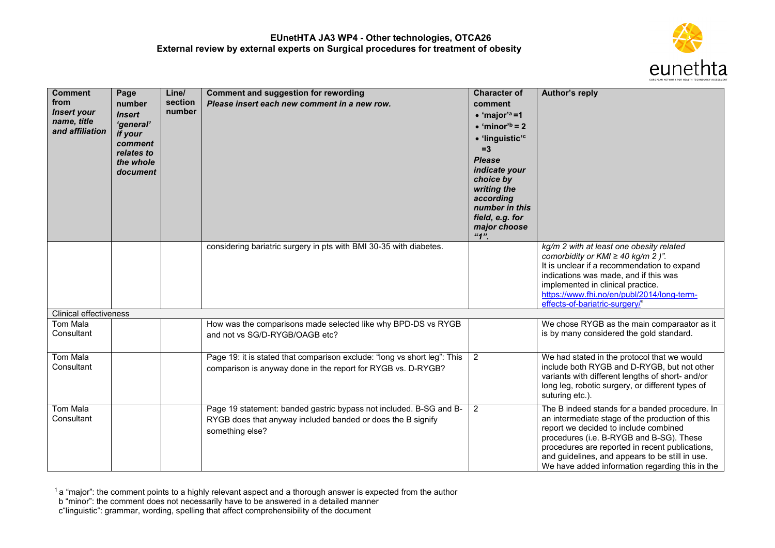

| <b>Comment</b><br>from<br><b>Insert your</b><br>name, title<br>and affiliation | Page<br>number<br><b>Insert</b><br>'general'<br>if your<br>comment<br>relates to<br>the whole<br>document | Line/<br>section<br>number | <b>Comment and suggestion for rewording</b><br>Please insert each new comment in a new row.                                                          | <b>Character of</b><br>comment<br>$\bullet$ 'major' <sup>a</sup> =1<br>$\bullet$ 'minor' <sup>b</sup> = 2<br>· 'linguistic' <sup>c</sup><br>$=3$<br><b>Please</b><br>indicate your<br>choice by<br>writing the<br>according<br>number in this<br>field, e.g. for<br>major choose<br>"1" | Author's reply                                                                                                                                                                                                                                                                                                                                  |
|--------------------------------------------------------------------------------|-----------------------------------------------------------------------------------------------------------|----------------------------|------------------------------------------------------------------------------------------------------------------------------------------------------|-----------------------------------------------------------------------------------------------------------------------------------------------------------------------------------------------------------------------------------------------------------------------------------------|-------------------------------------------------------------------------------------------------------------------------------------------------------------------------------------------------------------------------------------------------------------------------------------------------------------------------------------------------|
|                                                                                |                                                                                                           |                            | considering bariatric surgery in pts with BMI 30-35 with diabetes.                                                                                   |                                                                                                                                                                                                                                                                                         | kg/m 2 with at least one obesity related<br>comorbidity or $KMI \geq 40$ kg/m 2 )".<br>It is unclear if a recommendation to expand<br>indications was made, and if this was<br>implemented in clinical practice.<br>https://www.fhi.no/en/publ/2014/long-term-<br>effects-of-bariatric-surgery/"                                                |
| <b>Clinical effectiveness</b>                                                  |                                                                                                           |                            |                                                                                                                                                      |                                                                                                                                                                                                                                                                                         |                                                                                                                                                                                                                                                                                                                                                 |
| Tom Mala<br>Consultant                                                         |                                                                                                           |                            | How was the comparisons made selected like why BPD-DS vs RYGB<br>and not vs SG/D-RYGB/OAGB etc?                                                      |                                                                                                                                                                                                                                                                                         | We chose RYGB as the main comparaator as it<br>is by many considered the gold standard.                                                                                                                                                                                                                                                         |
| Tom Mala<br>Consultant                                                         |                                                                                                           |                            | Page 19: it is stated that comparison exclude: "long vs short leg": This<br>comparison is anyway done in the report for RYGB vs. D-RYGB?             | $\overline{2}$                                                                                                                                                                                                                                                                          | We had stated in the protocol that we would<br>include both RYGB and D-RYGB, but not other<br>variants with different lengths of short- and/or<br>long leg, robotic surgery, or different types of<br>suturing etc.).                                                                                                                           |
| Tom Mala<br>Consultant                                                         |                                                                                                           |                            | Page 19 statement: banded gastric bypass not included. B-SG and B-<br>RYGB does that anyway included banded or does the B signify<br>something else? | $\overline{2}$                                                                                                                                                                                                                                                                          | The B indeed stands for a banded procedure. In<br>an intermediate stage of the production of this<br>report we decided to include combined<br>procedures (i.e. B-RYGB and B-SG). These<br>procedures are reported in recent publications,<br>and guidelines, and appears to be still in use.<br>We have added information regarding this in the |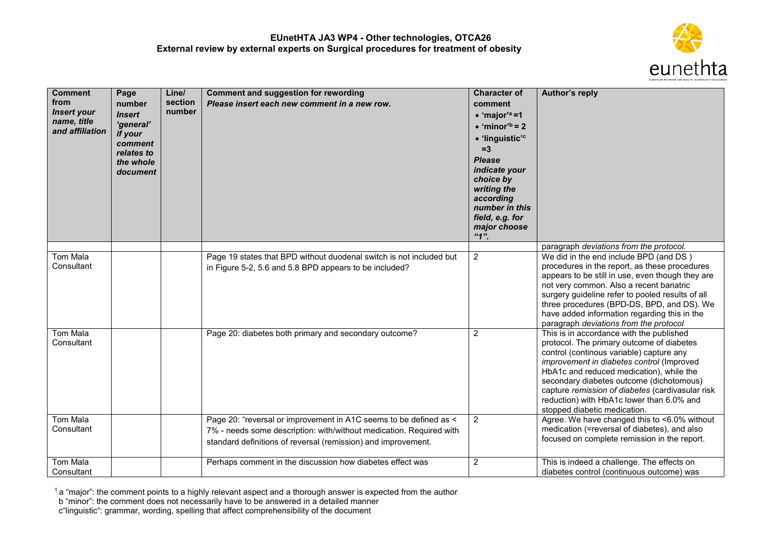

| <b>Comment</b><br>from<br><b>Insert your</b><br>name, title<br>and affiliation | Page<br>number<br><b>Insert</b><br>'general'<br>if your<br>comment<br>relates to<br>the whole<br>document | Line/<br>section<br>number | <b>Comment and suggestion for rewording</b><br>Please insert each new comment in a new row.                                                                                                               | <b>Character of</b><br>comment<br>$\bullet$ 'major' <sup>a</sup> =1<br>$\bullet$ 'minor' <sup>b</sup> = 2<br>· 'linguistic' <sup>c</sup><br>$=3$<br><b>Please</b><br>indicate your<br>choice by<br>writing the<br>according<br>number in this<br>field, e.g. for<br>major choose<br>"1" | Author's reply                                                                                                                                                                                                                                                                                                                                                                                          |
|--------------------------------------------------------------------------------|-----------------------------------------------------------------------------------------------------------|----------------------------|-----------------------------------------------------------------------------------------------------------------------------------------------------------------------------------------------------------|-----------------------------------------------------------------------------------------------------------------------------------------------------------------------------------------------------------------------------------------------------------------------------------------|---------------------------------------------------------------------------------------------------------------------------------------------------------------------------------------------------------------------------------------------------------------------------------------------------------------------------------------------------------------------------------------------------------|
|                                                                                |                                                                                                           |                            |                                                                                                                                                                                                           |                                                                                                                                                                                                                                                                                         | paragraph deviations from the protocol.                                                                                                                                                                                                                                                                                                                                                                 |
| <b>Tom Mala</b><br>Consultant                                                  |                                                                                                           |                            | Page 19 states that BPD without duodenal switch is not included but<br>in Figure 5-2, 5.6 and 5.8 BPD appears to be included?                                                                             | $\overline{2}$                                                                                                                                                                                                                                                                          | We did in the end include BPD (and DS)<br>procedures in the report, as these procedures<br>appears to be still in use, even though they are<br>not very common. Also a recent bariatric<br>surgery guideline refer to pooled results of all<br>three procedures (BPD-DS, BPD, and DS). We<br>have added information regarding this in the<br>paragraph deviations from the protocol                     |
| <b>Tom Mala</b><br>Consultant                                                  |                                                                                                           |                            | Page 20: diabetes both primary and secondary outcome?                                                                                                                                                     | $\overline{2}$                                                                                                                                                                                                                                                                          | This is in accordance with the published<br>protocol. The primary outcome of diabetes<br>control (continous variable) capture any<br>improvement in diabetes control (Improved<br>HbA1c and reduced medication), while the<br>secondary diabetes outcome (dichotomous)<br>capture remission of diabetes (cardivasular risk<br>reduction) with HbA1c lower than 6.0% and<br>stopped diabetic medication. |
| Tom Mala<br>Consultant                                                         |                                                                                                           |                            | Page 20: "reversal or improvement in A1C seems to be defined as <<br>7% - needs some description: with/without medication. Required with<br>standard definitions of reversal (remission) and improvement. | $\overline{2}$                                                                                                                                                                                                                                                                          | Agree. We have changed this to <6.0% without<br>medication (=reversal of diabetes), and also<br>focused on complete remission in the report.                                                                                                                                                                                                                                                            |
| Tom Mala<br>Consultant                                                         |                                                                                                           |                            | Perhaps comment in the discussion how diabetes effect was                                                                                                                                                 | $\sqrt{2}$                                                                                                                                                                                                                                                                              | This is indeed a challenge. The effects on<br>diabetes control (continuous outcome) was                                                                                                                                                                                                                                                                                                                 |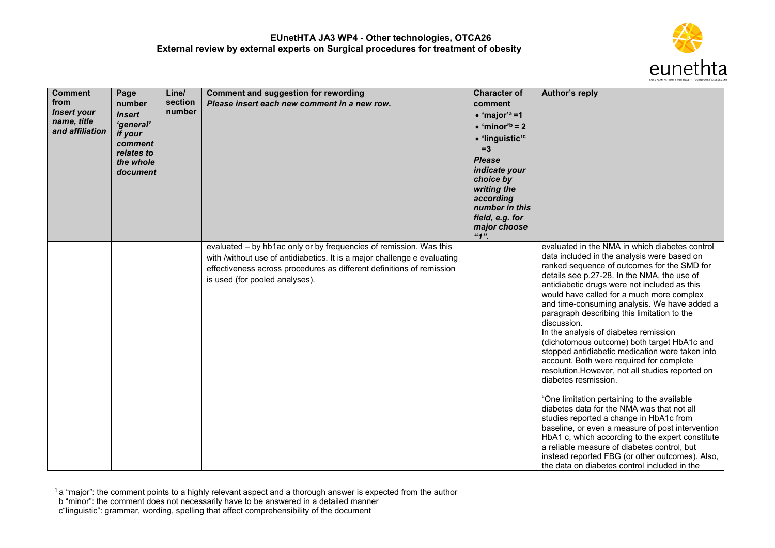

| <b>Comment</b><br>from<br><b>Insert your</b><br>name, title<br>and affiliation | Page<br>number<br><b>Insert</b><br>'general'<br>if your<br>comment<br>relates to<br>the whole<br>document | Line/<br>section<br>number | <b>Comment and suggestion for rewording</b><br>Please insert each new comment in a new row.                                                                                                                                                               | <b>Character of</b><br>comment<br>$\bullet$ 'major' <sup>a</sup> =1<br>$\bullet$ 'minor' <sup>b</sup> = 2<br>• 'linguistic' <sup>c</sup><br>$=3$<br><b>Please</b><br>indicate your<br>choice by<br>writing the<br>according<br>number in this<br>field, e.g. for<br>major choose<br>"1" | Author's reply                                                                                                                                                                                                                                                                                                                                                                                                                                                                                                                                                                                                                                                                                                                                                                                                                                                                                                                                                                                                                                                              |
|--------------------------------------------------------------------------------|-----------------------------------------------------------------------------------------------------------|----------------------------|-----------------------------------------------------------------------------------------------------------------------------------------------------------------------------------------------------------------------------------------------------------|-----------------------------------------------------------------------------------------------------------------------------------------------------------------------------------------------------------------------------------------------------------------------------------------|-----------------------------------------------------------------------------------------------------------------------------------------------------------------------------------------------------------------------------------------------------------------------------------------------------------------------------------------------------------------------------------------------------------------------------------------------------------------------------------------------------------------------------------------------------------------------------------------------------------------------------------------------------------------------------------------------------------------------------------------------------------------------------------------------------------------------------------------------------------------------------------------------------------------------------------------------------------------------------------------------------------------------------------------------------------------------------|
|                                                                                |                                                                                                           |                            | evaluated - by hb1ac only or by frequencies of remission. Was this<br>with /without use of antidiabetics. It is a major challenge e evaluating<br>effectiveness across procedures as different definitions of remission<br>is used (for pooled analyses). |                                                                                                                                                                                                                                                                                         | evaluated in the NMA in which diabetes control<br>data included in the analysis were based on<br>ranked sequence of outcomes for the SMD for<br>details see p.27-28. In the NMA, the use of<br>antidiabetic drugs were not included as this<br>would have called for a much more complex<br>and time-consuming analysis. We have added a<br>paragraph describing this limitation to the<br>discussion.<br>In the analysis of diabetes remission<br>(dichotomous outcome) both target HbA1c and<br>stopped antidiabetic medication were taken into<br>account. Both were required for complete<br>resolution. However, not all studies reported on<br>diabetes resmission.<br>"One limitation pertaining to the available<br>diabetes data for the NMA was that not all<br>studies reported a change in HbA1c from<br>baseline, or even a measure of post intervention<br>HbA1 c, which according to the expert constitute<br>a reliable measure of diabetes control, but<br>instead reported FBG (or other outcomes). Also,<br>the data on diabetes control included in the |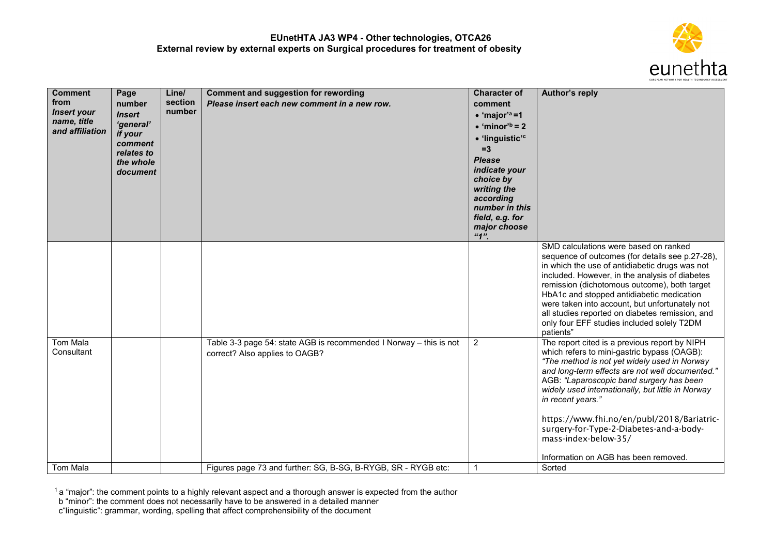

| <b>Comment</b><br>from<br><b>Insert your</b><br>name, title<br>and affiliation | Page<br>number<br><b>Insert</b><br>'general'<br>if your<br>comment<br>relates to<br>the whole<br>document | Line/<br>section<br>number | <b>Comment and suggestion for rewording</b><br>Please insert each new comment in a new row.          | <b>Character of</b><br>comment<br>$\bullet$ 'major' <sup>a</sup> =1<br>$\bullet$ 'minor' <sup>b</sup> = 2<br>· 'linguistic' <sup>c</sup><br>$=3$<br><b>Please</b><br>indicate your<br>choice by<br>writing the<br>according<br>number in this<br>field, e.g. for<br>major choose<br>"1" | Author's reply                                                                                                                                                                                                                                                                                                                                                                                                                                            |
|--------------------------------------------------------------------------------|-----------------------------------------------------------------------------------------------------------|----------------------------|------------------------------------------------------------------------------------------------------|-----------------------------------------------------------------------------------------------------------------------------------------------------------------------------------------------------------------------------------------------------------------------------------------|-----------------------------------------------------------------------------------------------------------------------------------------------------------------------------------------------------------------------------------------------------------------------------------------------------------------------------------------------------------------------------------------------------------------------------------------------------------|
|                                                                                |                                                                                                           |                            |                                                                                                      |                                                                                                                                                                                                                                                                                         | SMD calculations were based on ranked<br>sequence of outcomes (for details see p.27-28),<br>in which the use of antidiabetic drugs was not<br>included. However, in the analysis of diabetes<br>remission (dichotomous outcome), both target<br>HbA1c and stopped antidiabetic medication<br>were taken into account, but unfortunately not<br>all studies reported on diabetes remission, and<br>only four EFF studies included solely T2DM<br>patients" |
| Tom Mala<br>Consultant                                                         |                                                                                                           |                            | Table 3-3 page 54: state AGB is recommended I Norway - this is not<br>correct? Also applies to OAGB? | $\overline{2}$                                                                                                                                                                                                                                                                          | The report cited is a previous report by NIPH<br>which refers to mini-gastric bypass (OAGB):<br>"The method is not yet widely used in Norway<br>and long-term effects are not well documented."<br>AGB: "Laparoscopic band surgery has been<br>widely used internationally, but little in Norway<br>in recent years."<br>https://www.fhi.no/en/publ/2018/Bariatric-<br>surgery-for-Type-2-Diabetes-and-a-body-                                            |
| Tom Mala                                                                       |                                                                                                           |                            | Figures page 73 and further: SG, B-SG, B-RYGB, SR - RYGB etc:                                        |                                                                                                                                                                                                                                                                                         | mass-index-below-35/<br>Information on AGB has been removed.<br>Sorted                                                                                                                                                                                                                                                                                                                                                                                    |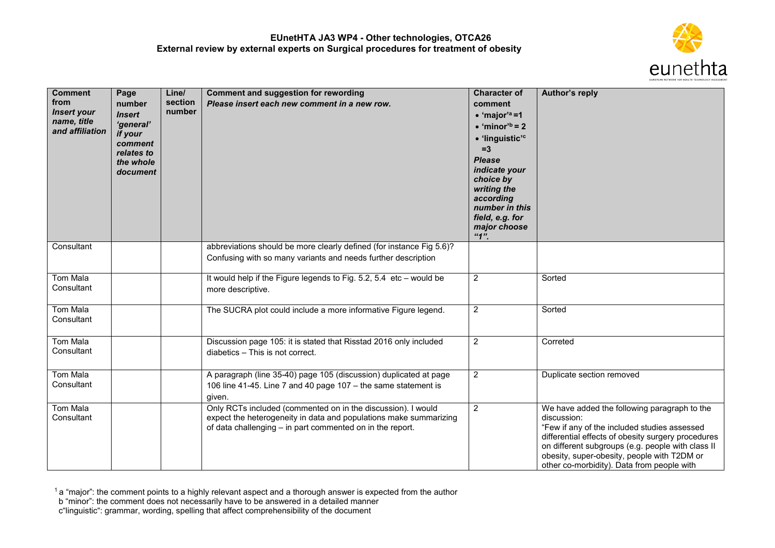

| <b>Comment</b><br>from<br><b>Insert your</b><br>name, title<br>and affiliation | Page<br>number<br><b>Insert</b><br>'general'<br>if your<br>comment<br>relates to<br>the whole<br>document | Line/<br>section<br>number | <b>Comment and suggestion for rewording</b><br>Please insert each new comment in a new row.                                                                                                    | <b>Character of</b><br>comment<br>$\bullet$ 'major' <sup>a</sup> =1<br>$\bullet$ 'minor' <sup>b</sup> = 2<br>· 'linguistic' <sup>c</sup><br>$=3$<br><b>Please</b><br>indicate your<br>choice by<br>writing the<br>according<br>number in this<br>field, e.g. for<br>major choose<br>"1" | <b>Author's reply</b>                                                                                                                                                                                                                                                                                               |
|--------------------------------------------------------------------------------|-----------------------------------------------------------------------------------------------------------|----------------------------|------------------------------------------------------------------------------------------------------------------------------------------------------------------------------------------------|-----------------------------------------------------------------------------------------------------------------------------------------------------------------------------------------------------------------------------------------------------------------------------------------|---------------------------------------------------------------------------------------------------------------------------------------------------------------------------------------------------------------------------------------------------------------------------------------------------------------------|
| Consultant                                                                     |                                                                                                           |                            | abbreviations should be more clearly defined (for instance Fig 5.6)?<br>Confusing with so many variants and needs further description                                                          |                                                                                                                                                                                                                                                                                         |                                                                                                                                                                                                                                                                                                                     |
| Tom Mala<br>Consultant                                                         |                                                                                                           |                            | It would help if the Figure legends to Fig. 5.2, 5.4 etc - would be<br>more descriptive.                                                                                                       | $\overline{2}$                                                                                                                                                                                                                                                                          | Sorted                                                                                                                                                                                                                                                                                                              |
| <b>Tom Mala</b><br>Consultant                                                  |                                                                                                           |                            | The SUCRA plot could include a more informative Figure legend.                                                                                                                                 | $\overline{2}$                                                                                                                                                                                                                                                                          | Sorted                                                                                                                                                                                                                                                                                                              |
| <b>Tom Mala</b><br>Consultant                                                  |                                                                                                           |                            | Discussion page 105: it is stated that Risstad 2016 only included<br>diabetics - This is not correct.                                                                                          | $\overline{2}$                                                                                                                                                                                                                                                                          | Correted                                                                                                                                                                                                                                                                                                            |
| <b>Tom Mala</b><br>Consultant                                                  |                                                                                                           |                            | A paragraph (line 35-40) page 105 (discussion) duplicated at page<br>106 line 41-45. Line 7 and 40 page 107 - the same statement is<br>given.                                                  | $\overline{2}$                                                                                                                                                                                                                                                                          | Duplicate section removed                                                                                                                                                                                                                                                                                           |
| <b>Tom Mala</b><br>Consultant                                                  |                                                                                                           |                            | Only RCTs included (commented on in the discussion). I would<br>expect the heterogeneity in data and populations make summarizing<br>of data challenging - in part commented on in the report. | $\overline{2}$                                                                                                                                                                                                                                                                          | We have added the following paragraph to the<br>discussion:<br>"Few if any of the included studies assessed<br>differential effects of obesity surgery procedures<br>on different subgroups (e.g. people with class II<br>obesity, super-obesity, people with T2DM or<br>other co-morbidity). Data from people with |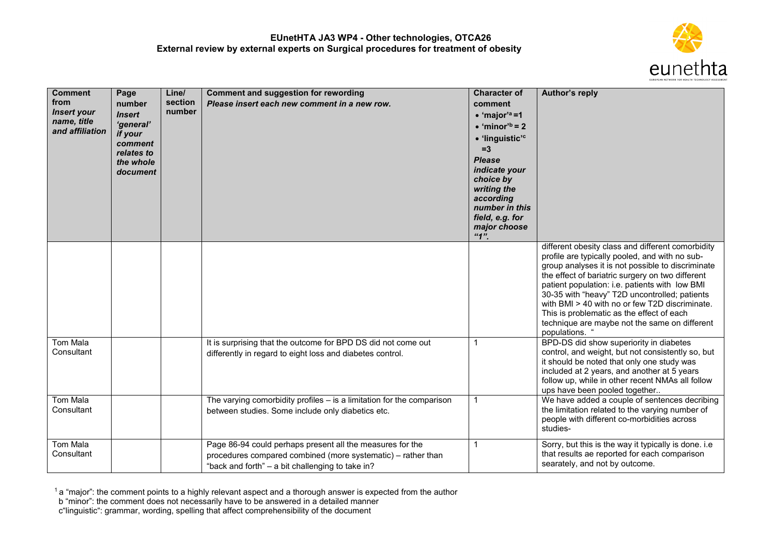

| <b>Comment</b><br>from<br><b>Insert your</b><br>name, title<br>and affiliation | Page<br>number<br><b>Insert</b><br>'general'<br>if your<br>comment<br>relates to<br>the whole<br>document | Line/<br>section<br>number | <b>Comment and suggestion for rewording</b><br>Please insert each new comment in a new row.                                                                                   | <b>Character of</b><br>comment<br>$\bullet$ 'major' <sup>a</sup> =1<br>$\bullet$ 'minor' <sup>b</sup> = 2<br>• 'linguistic' <sup>c</sup><br>$=3$<br><b>Please</b><br>indicate your<br>choice by<br>writing the<br>according<br>number in this<br>field, e.g. for<br>major choose<br>"1" | Author's reply                                                                                                                                                                                                                                                                                                                                                                                                                                                                    |
|--------------------------------------------------------------------------------|-----------------------------------------------------------------------------------------------------------|----------------------------|-------------------------------------------------------------------------------------------------------------------------------------------------------------------------------|-----------------------------------------------------------------------------------------------------------------------------------------------------------------------------------------------------------------------------------------------------------------------------------------|-----------------------------------------------------------------------------------------------------------------------------------------------------------------------------------------------------------------------------------------------------------------------------------------------------------------------------------------------------------------------------------------------------------------------------------------------------------------------------------|
|                                                                                |                                                                                                           |                            |                                                                                                                                                                               |                                                                                                                                                                                                                                                                                         | different obesity class and different comorbidity<br>profile are typically pooled, and with no sub-<br>group analyses it is not possible to discriminate<br>the effect of bariatric surgery on two different<br>patient population: i.e. patients with low BMI<br>30-35 with "heavy" T2D uncontrolled; patients<br>with BMI > 40 with no or few T2D discriminate.<br>This is problematic as the effect of each<br>technique are maybe not the same on different<br>populations. " |
| Tom Mala<br>Consultant                                                         |                                                                                                           |                            | It is surprising that the outcome for BPD DS did not come out<br>differently in regard to eight loss and diabetes control.                                                    | $\mathbf{1}$                                                                                                                                                                                                                                                                            | BPD-DS did show superiority in diabetes<br>control, and weight, but not consistently so, but<br>it should be noted that only one study was<br>included at 2 years, and another at 5 years<br>follow up, while in other recent NMAs all follow<br>ups have been pooled together                                                                                                                                                                                                    |
| Tom Mala<br>Consultant                                                         |                                                                                                           |                            | The varying comorbidity profiles $-$ is a limitation for the comparison<br>between studies. Some include only diabetics etc.                                                  | $\mathbf{1}$                                                                                                                                                                                                                                                                            | We have added a couple of sentences decribing<br>the limitation related to the varying number of<br>people with different co-morbidities across<br>studies-                                                                                                                                                                                                                                                                                                                       |
| Tom Mala<br>Consultant                                                         |                                                                                                           |                            | Page 86-94 could perhaps present all the measures for the<br>procedures compared combined (more systematic) - rather than<br>"back and forth" - a bit challenging to take in? | $\mathbf{1}$                                                                                                                                                                                                                                                                            | Sorry, but this is the way it typically is done. i.e<br>that results ae reported for each comparison<br>searately, and not by outcome.                                                                                                                                                                                                                                                                                                                                            |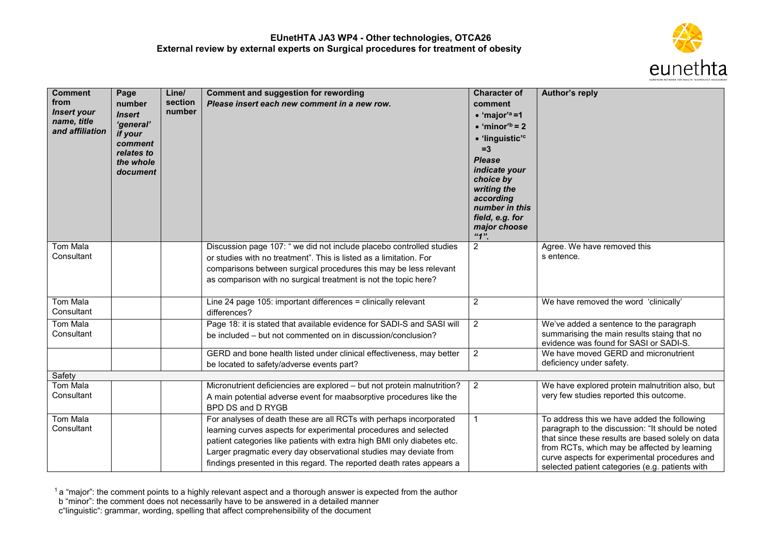

| <b>Comment</b><br>from<br><b>Insert your</b><br>name, title<br>and affiliation | Page<br>number<br><b>Insert</b><br>'general'<br>if your<br>comment<br>relates to<br>the whole<br>document | Line/<br>section<br>number | <b>Comment and suggestion for rewording</b><br>Please insert each new comment in a new row.                                                                                                                                                                                                                                                                     | <b>Character of</b><br>comment<br>$\bullet$ 'major' <sup>a</sup> =1<br>$\bullet$ 'minor' <sup>b</sup> = 2<br>· 'linguistic' <sup>c</sup><br>$=3$<br><b>Please</b><br>indicate your<br>choice by<br>writing the<br>according<br>number in this<br>field, e.g. for<br>major choose | Author's reply                                                                                                                                                                                                                                                                                           |
|--------------------------------------------------------------------------------|-----------------------------------------------------------------------------------------------------------|----------------------------|-----------------------------------------------------------------------------------------------------------------------------------------------------------------------------------------------------------------------------------------------------------------------------------------------------------------------------------------------------------------|----------------------------------------------------------------------------------------------------------------------------------------------------------------------------------------------------------------------------------------------------------------------------------|----------------------------------------------------------------------------------------------------------------------------------------------------------------------------------------------------------------------------------------------------------------------------------------------------------|
| Tom Mala<br>Consultant                                                         |                                                                                                           |                            | Discussion page 107: " we did not include placebo controlled studies<br>or studies with no treatment". This is listed as a limitation. For<br>comparisons between surgical procedures this may be less relevant<br>as comparison with no surgical treatment is not the topic here?                                                                              | "1"<br>$\overline{2}$                                                                                                                                                                                                                                                            | Agree. We have removed this<br>s entence.                                                                                                                                                                                                                                                                |
| <b>Tom Mala</b><br>Consultant                                                  |                                                                                                           |                            | Line 24 page 105: important differences = clinically relevant<br>differences?                                                                                                                                                                                                                                                                                   | $\overline{2}$                                                                                                                                                                                                                                                                   | We have removed the word 'clinically'                                                                                                                                                                                                                                                                    |
| <b>Tom Mala</b><br>Consultant                                                  |                                                                                                           |                            | Page 18: it is stated that available evidence for SADI-S and SASI will<br>be included - but not commented on in discussion/conclusion?                                                                                                                                                                                                                          | $\mathbf{2}$                                                                                                                                                                                                                                                                     | We've added a sentence to the paragraph<br>summarising the main results staing that no<br>evidence was found for SASI or SADI-S.                                                                                                                                                                         |
|                                                                                |                                                                                                           |                            | GERD and bone health listed under clinical effectiveness, may better<br>be located to safety/adverse events part?                                                                                                                                                                                                                                               | 2                                                                                                                                                                                                                                                                                | We have moved GERD and micronutrient<br>deficiency under safety.                                                                                                                                                                                                                                         |
| Safety                                                                         |                                                                                                           |                            |                                                                                                                                                                                                                                                                                                                                                                 |                                                                                                                                                                                                                                                                                  |                                                                                                                                                                                                                                                                                                          |
| Tom Mala<br>Consultant                                                         |                                                                                                           |                            | Micronutrient deficiencies are explored - but not protein malnutrition?<br>A main potential adverse event for maabsorptive procedures like the<br>BPD DS and D RYGB                                                                                                                                                                                             | $\overline{2}$                                                                                                                                                                                                                                                                   | We have explored protein malnutrition also, but<br>very few studies reported this outcome.                                                                                                                                                                                                               |
| <b>Tom Mala</b><br>Consultant                                                  |                                                                                                           |                            | For analyses of death these are all RCTs with perhaps incorporated<br>learning curves aspects for experimental procedures and selected<br>patient categories like patients with extra high BMI only diabetes etc.<br>Larger pragmatic every day observational studies may deviate from<br>findings presented in this regard. The reported death rates appears a | $\mathbf{1}$                                                                                                                                                                                                                                                                     | To address this we have added the following<br>paragraph to the discussion: "It should be noted<br>that since these results are based solely on data<br>from RCTs, which may be affected by learning<br>curve aspects for experimental procedures and<br>selected patient categories (e.g. patients with |